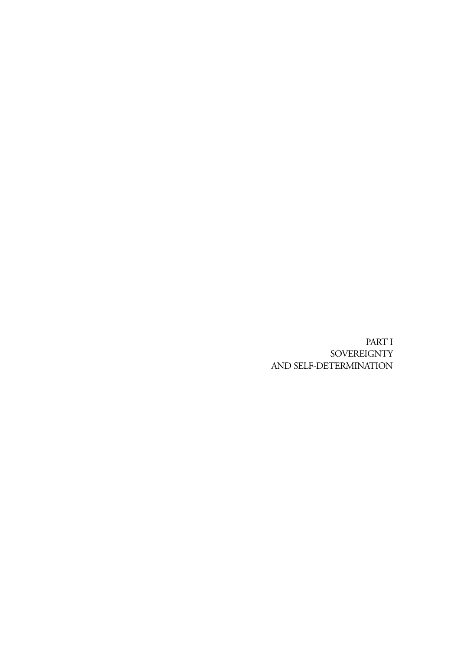PART I **SOVEREIGNTY** AND SELF-DETERMINATION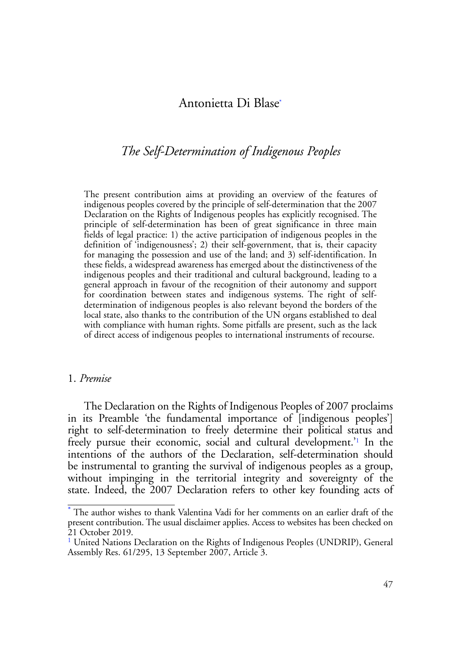## <span id="page-2-3"></span><span id="page-2-2"></span>Antonietta Di Blas[e\\*](#page-2-0)

# *The Self-Determination of Indigenous Peoples*

The present contribution aims at providing an overview of the features of indigenous peoples covered by the principle of self-determination that the 2007 Declaration on the Rights of Indigenous peoples has explicitly recognised. The principle of self-determination has been of great significance in three main fields of legal practice: 1) the active participation of indigenous peoples in the definition of 'indigenousness'; 2) their self-government, that is, their capacity for managing the possession and use of the land; and 3) self-identification. In these fields, a widespread awareness has emerged about the distinctiveness of the indigenous peoples and their traditional and cultural background, leading to a general approach in favour of the recognition of their autonomy and support for coordination between states and indigenous systems. The right of selfdetermination of indigenous peoples is also relevant beyond the borders of the local state, also thanks to the contribution of the UN organs established to deal with compliance with human rights. Some pitfalls are present, such as the lack of direct access of indigenous peoples to international instruments of recourse.

#### 1. *Premise*

The Declaration on the Rights of Indigenous Peoples of 2007 proclaims in its Preamble 'the fundamental importance of [indigenous peoples'] right to self-determination to freely determine their political status and freely pursue their economic, social and cultural development.['1](#page-2-1) In the intentions of the authors of the Declaration, self-determination should be instrumental to granting the survival of indigenous peoples as a group, without impinging in the territorial integrity and sovereignty of the state. Indeed, the 2007 Declaration refers to other key founding acts of

<span id="page-2-0"></span>[<sup>\\*</sup>](#page-2-3) The author wishes to thank Valentina Vadi for her comments on an earlier draft of the present contribution. The usual disclaimer applies. Access to websites has been checked on 21 October 2019.

<span id="page-2-1"></span><sup>&</sup>lt;sup>[1](#page-2-2)</sup> United Nations Declaration on the Rights of Indigenous Peoples (UNDRIP), General Assembly Res. 61/295, 13 September 2007, Article 3.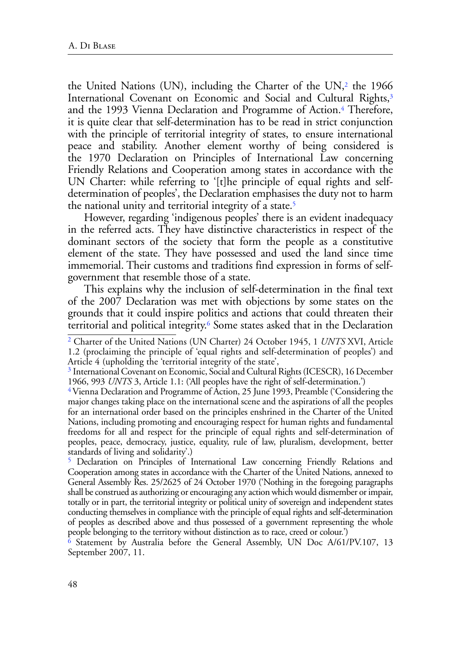<span id="page-3-7"></span><span id="page-3-6"></span><span id="page-3-5"></span>the United Nations (UN), including the Charter of the UN, $2$  the 1966 International Covenant on Economic and Social and Cultural Rights,<sup>[3](#page-3-1)</sup> and the 1993 Vienna Declaration and Programme of Action.<sup>[4](#page-3-2)</sup> Therefore, it is quite clear that self-determination has to be read in strict conjunction with the principle of territorial integrity of states, to ensure international peace and stability. Another element worthy of being considered is the 1970 Declaration on Principles of International Law concerning Friendly Relations and Cooperation among states in accordance with the UN Charter: while referring to '[t]he principle of equal rights and selfdetermination of peoples', the Declaration emphasises the duty not to harm the national unity and territorial integrity of a state.<sup>[5](#page-3-3)</sup>

<span id="page-3-8"></span>However, regarding 'indigenous peoples' there is an evident inadequacy in the referred acts. They have distinctive characteristics in respect of the dominant sectors of the society that form the people as a constitutive element of the state. They have possessed and used the land since time immemorial. Their customs and traditions find expression in forms of selfgovernment that resemble those of a state.

This explains why the inclusion of self-determination in the final text of the 2007 Declaration was met with objections by some states on the grounds that it could inspire politics and actions that could threaten their territorial and political integrity[.6](#page-3-4) Some states asked that in the Declaration

<span id="page-3-3"></span>[5](#page-3-8) Declaration on Principles of International Law concerning Friendly Relations and Cooperation among states in accordance with the Charter of the United Nations, annexed to General Assembly Res. 25/2625 of 24 October 1970 ('Nothing in the foregoing paragraphs shall be construed as authorizing or encouraging any action which would dismember or impair, totally or in part, the territorial integrity or political unity of sovereign and independent states conducting themselves in compliance with the principle of equal rights and self-determination of peoples as described above and thus possessed of a government representing the whole people belonging to the territory without distinction as to race, creed or colour.')

<span id="page-3-4"></span>[6](#page-3-9) Statement by Australia before the General Assembly, UN Doc A/61/PV.107, 13 September 2007, 11.

<span id="page-3-9"></span><span id="page-3-0"></span>[<sup>2</sup>](#page-3-5) Charter of the United Nations (UN Charter) 24 October 1945, 1 *UNTS* XVI, Article 1.2 (proclaiming the principle of 'equal rights and self-determination of peoples') and Article 4 (upholding the 'territorial integrity of the state',

<span id="page-3-1"></span>[<sup>3</sup>](#page-3-6) International Covenant on Economic, Social and Cultural Rights (ICESCR), 16 December 1966, 993 *UNTS* 3, Article 1.1: ('All peoples have the right of self-determination.') [4V](#page-3-7)ienna Declaration and Programme of Action, 25 June 1993, Preamble ('Considering the

<span id="page-3-2"></span>major changes taking place on the international scene and the aspirations of all the peoples for an international order based on the principles enshrined in the Charter of the United Nations, including promoting and encouraging respect for human rights and fundamental freedoms for all and respect for the principle of equal rights and self-determination of peoples, peace, democracy, justice, equality, rule of law, pluralism, development, better standards of living and solidarity'.)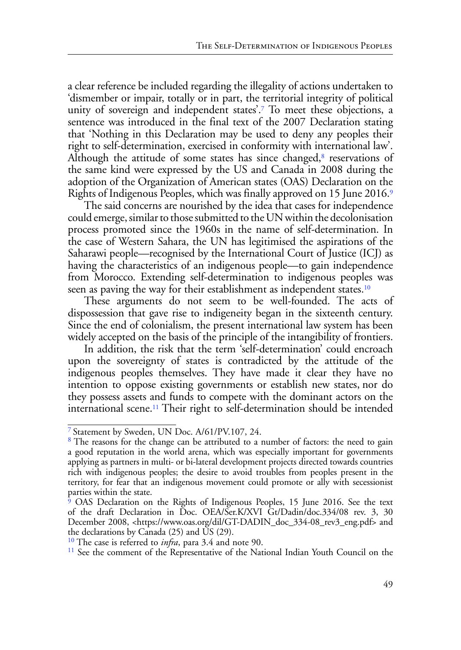<span id="page-4-5"></span>a clear reference be included regarding the illegality of actions undertaken to 'dismember or impair, totally or in part, the territorial integrity of political unity of sovereign and independent states'[.7](#page-4-0) To meet these objections, a sentence was introduced in the final text of the 2007 Declaration stating that 'Nothing in this Declaration may be used to deny any peoples their right to self-determination, exercised in conformity with international law'. Although the attitude of some states has since changed, $\delta$  reservations of the same kind were expressed by the US and Canada in 2008 during the adoption of the Organization of American states (OAS) Declaration on the Rights of Indigenous Peoples, which was finally approved on 15 June 2016.[9](#page-4-2)

<span id="page-4-7"></span><span id="page-4-6"></span>The said concerns are nourished by the idea that cases for independence could emerge, similar to those submitted to the UN within the decolonisation process promoted since the 1960s in the name of self-determination. In the case of Western Sahara, the UN has legitimised the aspirations of the Saharawi people—recognised by the International Court of Justice (ICJ) as having the characteristics of an indigenous people—to gain independence from Morocco. Extending self-determination to indigenous peoples was seen as paving the way for their establishment as independent states.<sup>[10](#page-4-3)</sup>

<span id="page-4-8"></span>These arguments do not seem to be well-founded. The acts of dispossession that gave rise to indigeneity began in the sixteenth century. Since the end of colonialism, the present international law system has been widely accepted on the basis of the principle of the intangibility of frontiers.

In addition, the risk that the term 'self-determination' could encroach upon the sovereignty of states is contradicted by the attitude of the indigenous peoples themselves. They have made it clear they have no intention to oppose existing governments or establish new states, nor do they possess assets and funds to compete with the dominant actors on the international scene.<sup>11</sup> Their right to self-determination should be intended

<span id="page-4-9"></span><span id="page-4-0"></span>[<sup>7</sup>](#page-4-5) Statement by Sweden, UN Doc. A/61/PV.107, 24.

<span id="page-4-1"></span><sup>&</sup>lt;sup>[8](#page-4-6)</sup> The reasons for the change can be attributed to a number of factors: the need to gain a good reputation in the world arena, which was especially important for governments applying as partners in multi- or bi-lateral development projects directed towards countries rich with indigenous peoples; the desire to avoid troubles from peoples present in the territory, for fear that an indigenous movement could promote or ally with secessionist parties within the state.

<span id="page-4-2"></span>[<sup>9</sup>](#page-4-7) OAS Declaration on the Rights of Indigenous Peoples, 15 June 2016. See the text of the draft Declaration in Doc. OEA/Ser.K/XVI Gt/Dadin/doc.334/08 rev. 3, 30 December 2008, [<https://www.oas.org/dil/GT-DADIN\\_doc\\_334-08\\_rev3\\_eng.pdf>](https://www.oas.org/dil/GT-DADIN_doc_334-08_rev3_eng.pdf) and the declarations by Canada (25) and US (29).

<span id="page-4-4"></span>

<span id="page-4-3"></span><sup>&</sup>lt;sup>10</sup> The case is referred to *infra*, para 3.4 and note 90.<br><sup>11</sup> See the comment of the Representative of the National Indian Youth Council on the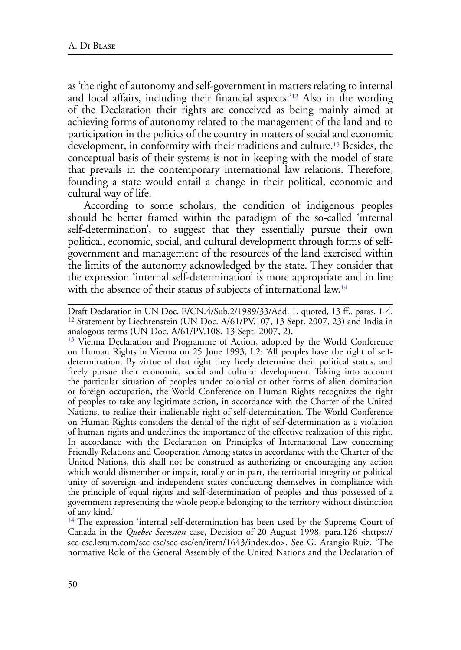<span id="page-5-4"></span><span id="page-5-3"></span>as 'the right of autonomy and self-government in matters relating to internal and local affairs, including their financial aspects.['12](#page-5-0) Also in the wording of the Declaration their rights are conceived as being mainly aimed at achieving forms of autonomy related to the management of the land and to participation in the politics of the country in matters of social and economic development, in conformity with their traditions and culture[.13](#page-5-1) Besides, the conceptual basis of their systems is not in keeping with the model of state that prevails in the contemporary international law relations. Therefore, founding a state would entail a change in their political, economic and cultural way of life.

According to some scholars, the condition of indigenous peoples should be better framed within the paradigm of the so-called 'internal self-determination', to suggest that they essentially pursue their own political, economic, social, and cultural development through forms of selfgovernment and management of the resources of the land exercised within the limits of the autonomy acknowledged by the state. They consider that the expression 'internal self-determination' is more appropriate and in line with the absence of their status of subjects of international law.<sup>14</sup>

<span id="page-5-1"></span><sup>13</sup> Vienna Declaration and Programme of Action, adopted by the World Conference on Human Rights in Vienna on 25 June 1993, I.2: 'All peoples have the right of selfdetermination. By virtue of that right they freely determine their political status, and freely pursue their economic, social and cultural development. Taking into account the particular situation of peoples under colonial or other forms of alien domination or foreign occupation, the World Conference on Human Rights recognizes the right of peoples to take any legitimate action, in accordance with the Charter of the United Nations, to realize their inalienable right of self-determination. The World Conference on Human Rights considers the denial of the right of self-determination as a violation of human rights and underlines the importance of the effective realization of this right. In accordance with the Declaration on Principles of International Law concerning Friendly Relations and Cooperation Among states in accordance with the Charter of the United Nations, this shall not be construed as authorizing or encouraging any action which would dismember or impair, totally or in part, the territorial integrity or political unity of sovereign and independent states conducting themselves in compliance with the principle of equal rights and self-determination of peoples and thus possessed of a government representing the whole people belonging to the territory without distinction of any kind.'

<span id="page-5-5"></span><span id="page-5-0"></span>Draft Declaration in UN Doc. E/CN.4/Sub.2/1989/33/Add. 1, quoted, 13 ff., paras. 1-4. <sup>12</sup> Statement by Liechtenstein (UN Doc. A/61/PV.107, 13 Sept. 2007, 23) and India in analogous terms (UN Doc. A/61/PV.108, 13 Sept. 2007, 2).

<span id="page-5-2"></span><sup>&</sup>lt;sup>14</sup> The expression 'internal self-determination has been used by the Supreme Court of Canada in the *Quebec Secession* case, Decision of 20 August 1998, para.126 [<https://](https://scc-csc.lexum.com/scc-csc/scc-csc/en/item/1643/index.do) [scc-csc.lexum.com/scc-csc/scc-csc/en/item/1643/index.do](https://scc-csc.lexum.com/scc-csc/scc-csc/en/item/1643/index.do)>. See G. Arangio-Ruiz, 'The normative Role of the General Assembly of the United Nations and the Declaration of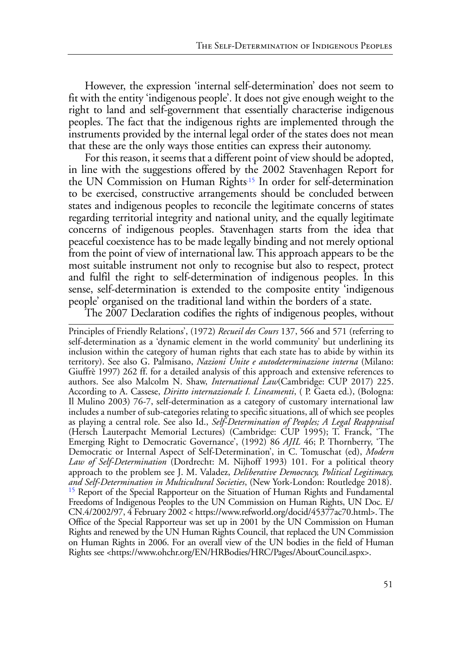However, the expression 'internal self-determination' does not seem to fit with the entity 'indigenous people'. It does not give enough weight to the right to land and self-government that essentially characterise indigenous peoples. The fact that the indigenous rights are implemented through the instruments provided by the internal legal order of the states does not mean that these are the only ways those entities can express their autonomy.

<span id="page-6-1"></span>For this reason, it seems that a different point of view should be adopted, in line with the suggestions offered by the 2002 Stavenhagen Report for the UN Commission on Human Right[s.15](#page-6-0) In order for self-determination to be exercised, constructive arrangements should be concluded between states and indigenous peoples to reconcile the legitimate concerns of states regarding territorial integrity and national unity, and the equally legitimate concerns of indigenous peoples. Stavenhagen starts from the idea that peaceful coexistence has to be made legally binding and not merely optional from the point of view of international law. This approach appears to be the most suitable instrument not only to recognise but also to respect, protect and fulfil the right to self-determination of indigenous peoples. In this sense, self-determination is extended to the composite entity 'indigenous people' organised on the traditional land within the borders of a state.

The 2007 Declaration codifies the rights of indigenous peoples, without

<span id="page-6-0"></span>Principles of Friendly Relations', (1972) *Recueil des Cours* 137, 566 and 571 (referring to self-determination as a 'dynamic element in the world community' but underlining its inclusion within the category of human rights that each state has to abide by within its territory). See also G. Palmisano, *Nazioni Unite e autodeterminazione interna* (Milano: Giuffrè 1997) 262 ff. for a detailed analysis of this approach and extensive references to authors. See also Malcolm N. Shaw, *International Law*(Cambridge: CUP 2017) 225. According to A. Cassese, *Diritto internazionale I. Lineamenti*, ( P. Gaeta ed.), (Bologna: Il Mulino 2003) 76-7, self-determination as a category of customary international law includes a number of sub-categories relating to specific situations, all of which see peoples as playing a central role. See also Id., *Self-Determination of Peoples; A Legal Reappraisal* (Hersch Lauterpacht Memorial Lectures) (Cambridge: CUP 1995); T. Franck, 'The Emerging Right to Democratic Governance', (1992) 86 *AJIL* 46; P. Thornberry, 'The Democratic or Internal Aspect of Self-Determination', in C. Tomuschat (ed), *Modern Law of Self-Determination* (Dordrecht: M. Nijhoff 1993) 101. For a political theory approach to the problem see J. M. Valadez, *Deliberative Democracy, Political Legitimacy, and Self-Determination in Multicultural Societies*, (New York-London: Routledge 2018). <sup>[15](#page-6-1)</sup> Report of the Special Rapporteur on the Situation of Human Rights and Fundamental Freedoms of Indigenous Peoples to the UN Commission on Human Rights, UN Doc. E/ CN.4/2002/97, 4 February 2002 <<https://www.refworld.org/docid/45377ac70.html>>. The Office of the Special Rapporteur was set up in 2001 by the UN Commission on Human Rights and renewed by the UN Human Rights Council, that replaced the UN Commission on Human Rights in 2006. For an overall view of the UN bodies in the field of Human Rights see [<https://www.ohchr.org/EN/HRBodies/HRC/Pages/AboutCouncil.aspx](https://www.ohchr.org/EN/HRBodies/HRC/Pages/AboutCouncil.aspx)>.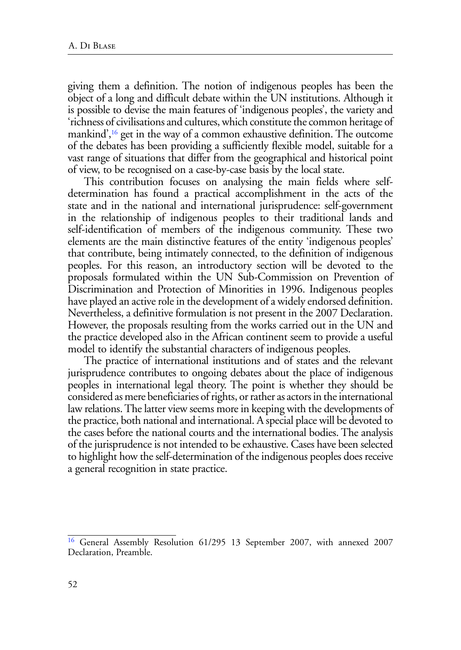<span id="page-7-1"></span>giving them a definition. The notion of indigenous peoples has been the object of a long and difficult debate within the UN institutions. Although it is possible to devise the main features of 'indigenous peoples', the variety and 'richness of civilisations and cultures, which constitute the common heritage of mankind',<sup>16</sup> get in the way of a common exhaustive definition. The outcome of the debates has been providing a sufficiently flexible model, suitable for a vast range of situations that differ from the geographical and historical point of view, to be recognised on a case-by-case basis by the local state.

This contribution focuses on analysing the main fields where selfdetermination has found a practical accomplishment in the acts of the state and in the national and international jurisprudence: self-government in the relationship of indigenous peoples to their traditional lands and self-identification of members of the indigenous community. These two elements are the main distinctive features of the entity 'indigenous peoples' that contribute, being intimately connected, to the definition of indigenous peoples. For this reason, an introductory section will be devoted to the proposals formulated within the UN Sub-Commission on Prevention of Discrimination and Protection of Minorities in 1996. Indigenous peoples have played an active role in the development of a widely endorsed definition. Nevertheless, a definitive formulation is not present in the 2007 Declaration. However, the proposals resulting from the works carried out in the UN and the practice developed also in the African continent seem to provide a useful model to identify the substantial characters of indigenous peoples.

The practice of international institutions and of states and the relevant jurisprudence contributes to ongoing debates about the place of indigenous peoples in international legal theory. The point is whether they should be considered as mere beneficiaries of rights, or rather as actors in the international law relations. The latter view seems more in keeping with the developments of the practice, both national and international. A special place will be devoted to the cases before the national courts and the international bodies. The analysis of the jurisprudence is not intended to be exhaustive. Cases have been selected to highlight how the self-determination of the indigenous peoples does receive a general recognition in state practice.

<span id="page-7-0"></span><sup>&</sup>lt;sup>16</sup> General Assembly Resolution 61/295 13 September 2007, with annexed 2007 Declaration, Preamble.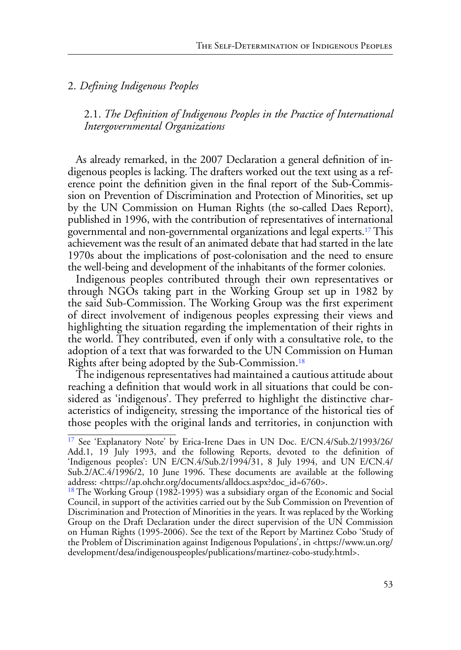## 2. *Defining Indigenous Peoples*

2.1. *The Definition of Indigenous Peoples in the Practice of International Intergovernmental Organizations*

As already remarked, in the 2007 Declaration a general definition of indigenous peoples is lacking. The drafters worked out the text using as a reference point the definition given in the final report of the Sub-Commission on Prevention of Discrimination and Protection of Minorities, set up by the UN Commission on Human Rights (the so-called Daes Report), published in 1996, with the contribution of representatives of international governmental and non-governmental organizations and legal experts[.17](#page-8-0) This achievement was the result of an animated debate that had started in the late 1970s about the implications of post-colonisation and the need to ensure the well-being and development of the inhabitants of the former colonies.

<span id="page-8-2"></span>Indigenous peoples contributed through their own representatives or through NGOs taking part in the Working Group set up in 1982 by the said Sub-Commission. The Working Group was the first experiment of direct involvement of indigenous peoples expressing their views and highlighting the situation regarding the implementation of their rights in the world. They contributed, even if only with a consultative role, to the adoption of a text that was forwarded to the UN Commission on Human Rights after being adopted by the Sub-Commission.[18](#page-8-1)

<span id="page-8-3"></span>The indigenous representatives had maintained a cautious attitude about reaching a definition that would work in all situations that could be considered as 'indigenous'. They preferred to highlight the distinctive characteristics of indigeneity, stressing the importance of the historical ties of those peoples with the original lands and territories, in conjunction with

<span id="page-8-0"></span><sup>&</sup>lt;sup>17</sup> See 'Explanatory Note' by Erica-Irene Daes in UN Doc. E/CN.4/Sub.2/1993/26/ Add.1, 19 July 1993, and the following Reports, devoted to the definition of 'Indigenous peoples': UN E/CN.4/Sub.2/1994/31, 8 July 1994, and UN E/CN.4/ Sub.2/AC.4/1996/2, 10 June 1996. These documents are available at the following [add](#page-8-3)ress: <[https://ap.ohchr.org/documents/alldocs.aspx?doc\\_id=6760](https://ap.ohchr.org/documents/alldocs.aspx?doc_id=6760)>.<br><sup>[18](#page-8-3)</sup> The Working Group (1982-1995) was a subsidiary organ of the Economic and Social

<span id="page-8-1"></span>Council, in support of the activities carried out by the Sub Commission on Prevention of Discrimination and Protection of Minorities in the years. It was replaced by the Working Group on the Draft Declaration under the direct supervision of the UN Commission on Human Rights (1995-2006). See the text of the Report by Martinez Cobo 'Study of the Problem of Discrimination against Indigenous Populations', in [<https://www.un.org/](https://www.un.org/development/desa/indigenouspeoples/publications/martinez-cobo-study.html) [development/desa/indigenouspeoples/publications/martinez-cobo-study.html](https://www.un.org/development/desa/indigenouspeoples/publications/martinez-cobo-study.html)>.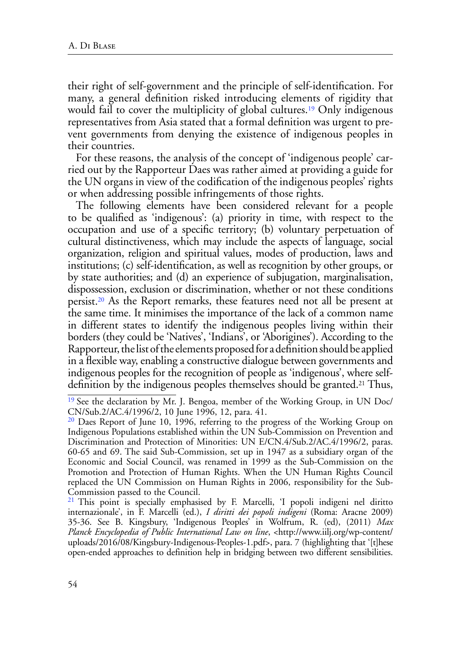<span id="page-9-3"></span>their right of self-government and the principle of self-identification. For many, a general definition risked introducing elements of rigidity that would fail to cover the multiplicity of global cultures.<sup>19</sup> Only indigenous representatives from Asia stated that a formal definition was urgent to prevent governments from denying the existence of indigenous peoples in their countries.

For these reasons, the analysis of the concept of 'indigenous people' carried out by the Rapporteur Daes was rather aimed at providing a guide for the UN organs in view of the codification of the indigenous peoples' rights or when addressing possible infringements of those rights.

<span id="page-9-4"></span>The following elements have been considered relevant for a people to be qualified as 'indigenous': (a) priority in time, with respect to the occupation and use of a specific territory; (b) voluntary perpetuation of cultural distinctiveness, which may include the aspects of language, social organization, religion and spiritual values, modes of production, laws and institutions; (c) self-identification, as well as recognition by other groups, or by state authorities; and (d) an experience of subjugation, marginalisation, dispossession, exclusion or discrimination, whether or not these conditions persist[.20](#page-9-1) As the Report remarks, these features need not all be present at the same time. It minimises the importance of the lack of a common name in different states to identify the indigenous peoples living within their borders (they could be 'Natives', 'Indians', or 'Aborigines'). According to the Rapporteur, the list of the elements proposed for a definition should be applied in a flexible way, enabling a constructive dialogue between governments and indigenous peoples for the recognition of people as 'indigenous', where selfdefinition by the indigenous peoples themselves should be granted.<sup>21</sup> Thus,

<span id="page-9-5"></span><span id="page-9-0"></span><sup>&</sup>lt;sup>[19](#page-9-3)</sup> See the declaration by Mr. J. Bengoa, member of the Working Group, in UN Doc/ CN/Sub.2/AC.4/1996/2, 10 June 1996, 12, para. 41.

<span id="page-9-1"></span><sup>&</sup>lt;sup>20</sup> Daes Report of June 10, 1996, referring to the progress of the Working Group on Indigenous Populations established within the UN Sub-Commission on Prevention and Discrimination and Protection of Minorities: UN E/CN.4/Sub.2/AC.4/1996/2, paras. 60-65 and 69. The said Sub-Commission, set up in 1947 as a subsidiary organ of the Economic and Social Council, was renamed in 1999 as the Sub-Commission on the Promotion and Protection of Human Rights. When the UN Human Rights Council replaced the UN Commission on Human Rights in 2006, responsibility for the Sub-Commission passed to the Council.

<span id="page-9-2"></span><sup>&</sup>lt;sup>[21](#page-9-5)</sup> This point is specially emphasised by F. Marcelli, 'I popoli indigeni nel diritto internazionale', in F. Marcelli (ed.), *I diritti dei popoli indigeni* (Roma: Aracne 2009) 35-36. See B. Kingsbury, 'Indigenous Peoples' in Wolfrum, R. (ed), (2011) *Max Planck Encyclopedia of Public International Law on line*, [<http://www.iilj.org/wp-content/](http://www.iilj.org/wp-content/uploads/2016/08/Kingsbury-Indigenous-Peoples-1.pdf) [uploads/2016/08/Kingsbury-Indigenous-Peoples-1.pdf>](http://www.iilj.org/wp-content/uploads/2016/08/Kingsbury-Indigenous-Peoples-1.pdf), para. 7 (highlighting that '[t]hese open-ended approaches to definition help in bridging between two different sensibilities.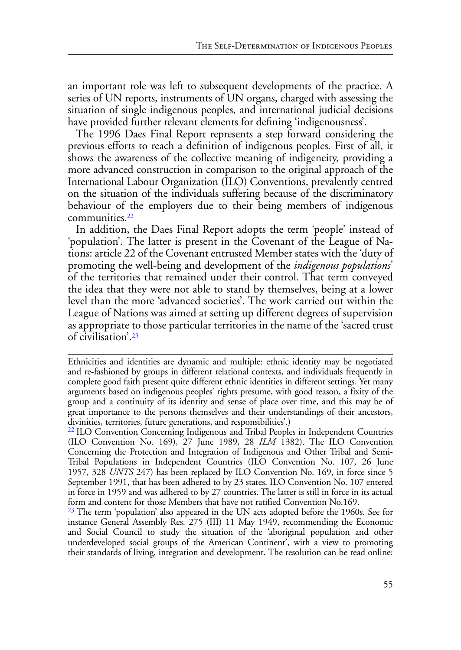an important role was left to subsequent developments of the practice. A series of UN reports, instruments of UN organs, charged with assessing the situation of single indigenous peoples, and international judicial decisions have provided further relevant elements for defining 'indigenousness'.

The 1996 Daes Final Report represents a step forward considering the previous efforts to reach a definition of indigenous peoples. First of all, it shows the awareness of the collective meaning of indigeneity, providing a more advanced construction in comparison to the original approach of the International Labour Organization (ILO) Conventions, prevalently centred on the situation of the individuals suffering because of the discriminatory behaviour of the employers due to their being members of indigenous communities.<sup>[22](#page-10-0)</sup>

<span id="page-10-2"></span>In addition, the Daes Final Report adopts the term 'people' instead of 'population'. The latter is present in the Covenant of the League of Nations: article 22 of the Covenant entrusted Member states with the 'duty of promoting the well-being and development of the *indigenous populations*' of the territories that remained under their control. That term conveyed the idea that they were not able to stand by themselves, being at a lower level than the more 'advanced societies'. The work carried out within the League of Nations was aimed at setting up different degrees of supervision as appropriate to those particular territories in the name of the 'sacred trust of civilisation'.[23](#page-10-1)

<span id="page-10-3"></span>Ethnicities and identities are dynamic and multiple: ethnic identity may be negotiated and re-fashioned by groups in different relational contexts, and individuals frequently in complete good faith present quite different ethnic identities in different settings. Yet many arguments based on indigenous peoples' rights presume, with good reason, a fixity of the group and a continuity of its identity and sense of place over time, and this may be of great importance to the persons themselves and their understandings of their ancestors, divinities, territories, future generations, and responsibilities'.)

<span id="page-10-0"></span><sup>&</sup>lt;sup>[22](#page-10-2)</sup> ILO Convention Concerning Indigenous and Tribal Peoples in Independent Countries (ILO Convention No. 169), 27 June 1989, 28 *ILM* 1382). The ILO Convention Concerning the Protection and Integration of Indigenous and Other Tribal and Semi-Tribal Populations in Independent Countries (ILO Convention No. 107, 26 June 1957, 328 *UNTS* 247) has been replaced by ILO Convention No. 169, in force since 5 September 1991, that has been adhered to by 23 states. ILO Convention No. 107 entered in force in 1959 and was adhered to by 27 countries. The latter is still in force in its actual form and content for those Members that have not ratified Convention No.169.

<span id="page-10-1"></span> $23$  The term 'population' also appeared in the UN acts adopted before the 1960s. See for instance General Assembly Res. 275 (III) 11 May 1949, recommending the Economic and Social Council to study the situation of the 'aboriginal population and other underdeveloped social groups of the American Continent', with a view to promoting their standards of living, integration and development. The resolution can be read online: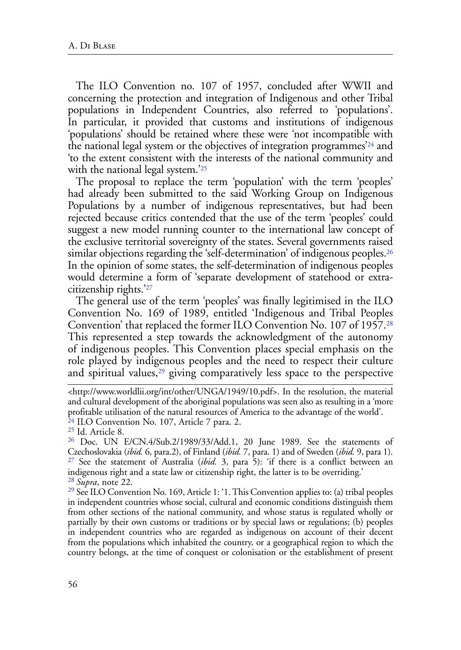The ILO Convention no. 107 of 1957, concluded after WWII and concerning the protection and integration of Indigenous and other Tribal populations in Independent Countries, also referred to 'populations'. In particular, it provided that customs and institutions of indigenous 'populations' should be retained where these were 'not incompatible with the national legal system or the objectives of integration programmes['24](#page-11-0) and 'to the extent consistent with the interests of the national community and with the national legal system.<sup>'[25](#page-11-1)</sup>

<span id="page-11-7"></span><span id="page-11-6"></span>The proposal to replace the term 'population' with the term 'peoples' had already been submitted to the said Working Group on Indigenous Populations by a number of indigenous representatives, but had been rejected because critics contended that the use of the term 'peoples' could suggest a new model running counter to the international law concept of the exclusive territorial sovereignty of the states. Several governments raised similar objections regarding the 'self-determination' of indigenous peoples.<sup>26</sup> In the opinion of some states, the self-determination of indigenous peoples would determine a form of 'separate development of statehood or extracitizenship rights.'[27](#page-11-3)

<span id="page-11-10"></span><span id="page-11-9"></span><span id="page-11-8"></span>The general use of the term 'peoples' was finally legitimised in the ILO Convention No. 169 of 1989, entitled 'Indigenous and Tribal Peoples Convention' that replaced the former ILO Convention No. 107 of 1957[.28](#page-11-4) This represented a step towards the acknowledgment of the autonomy of indigenous peoples. This Convention places special emphasis on the role played by indigenous peoples and the need to respect their culture and spiritual values,<sup>29</sup> giving comparatively less space to the perspective

<span id="page-11-1"></span><span id="page-11-0"></span>[25](#page-11-7) Id. Article 8.

<span id="page-11-3"></span><span id="page-11-2"></span>[26](#page-11-8) Doc. UN E/CN.4/Sub.2/1989/33/Add.1, 20 June 1989. See the statements of Czechoslovakia (*ibid.* 6, para.2), of Finland (*ibid.* 7, para. 1) and of Sweden (*ibid.* 9, para 1). [27](#page-11-9) See the statement of Australia (*ibid.* 3, para 5): 'if there is a conflict between an indigenous right and a state law or citizenship right, the latter is to be overriding.' [28](#page-11-10) *Supra*, note 22.

<span id="page-11-5"></span><span id="page-11-4"></span><sup>29</sup> See ILO Convention No. 169, Article 1: '1. This Convention applies to: (a) tribal peoples in independent countries whose social, cultural and economic conditions distinguish them from other sections of the national community, and whose status is regulated wholly or partially by their own customs or traditions or by special laws or regulations; (b) peoples in independent countries who are regarded as indigenous on account of their decent from the populations which inhabited the country, or a geographical region to which the country belongs, at the time of conquest or colonisation or the establishment of present

<span id="page-11-11"></span><sup>&</sup>lt;[http://www.worldlii.org/int/other/UNGA/1949/10.pdf>](http://www.worldlii.org/int/other/UNGA/1949/10.pdf). In the resolution, the material and cultural development of the aboriginal populations was seen also as resulting in a 'more profitable utilisation of the natural resources of America to the advantage of the world'. [24](#page-11-6) ILO Convention No. 107, Article 7 para. 2.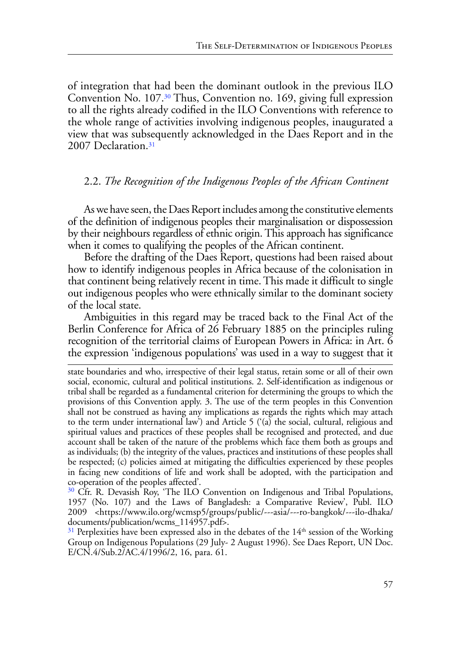<span id="page-12-2"></span>of integration that had been the dominant outlook in the previous ILO Convention No. 107.[30](#page-12-0) Thus, Convention no. 169, giving full expression to all the rights already codified in the ILO Conventions with reference to the whole range of activities involving indigenous peoples, inaugurated a view that was subsequently acknowledged in the Daes Report and in the 2007 Declaration.<sup>31</sup>

## <span id="page-12-3"></span>2.2. *The Recognition of the Indigenous Peoples of the African Continent*

As we have seen, the Daes Report includes among the constitutive elements of the definition of indigenous peoples their marginalisation or dispossession by their neighbours regardless of ethnic origin. This approach has significance when it comes to qualifying the peoples of the African continent.

Before the drafting of the Daes Report, questions had been raised about how to identify indigenous peoples in Africa because of the colonisation in that continent being relatively recent in time. This made it difficult to single out indigenous peoples who were ethnically similar to the dominant society of the local state.

Ambiguities in this regard may be traced back to the Final Act of the Berlin Conference for Africa of 26 February 1885 on the principles ruling recognition of the territorial claims of European Powers in Africa: in Art. 6 the expression 'indigenous populations' was used in a way to suggest that it

state boundaries and who, irrespective of their legal status, retain some or all of their own social, economic, cultural and political institutions. 2. Self-identification as indigenous or tribal shall be regarded as a fundamental criterion for determining the groups to which the provisions of this Convention apply. 3. The use of the term peoples in this Convention shall not be construed as having any implications as regards the rights which may attach to the term under international law') and Article 5 ('(a) the social, cultural, religious and spiritual values and practices of these peoples shall be recognised and protected, and due account shall be taken of the nature of the problems which face them both as groups and as individuals; (b) the integrity of the values, practices and institutions of these peoples shall be respected; (c) policies aimed at mitigating the difficulties experienced by these peoples in facing new conditions of life and work shall be adopted, with the participation and co-operation of the peoples affected'.

<span id="page-12-0"></span>[30](#page-12-2) Cfr. R. Devasish Roy, 'The ILO Convention on Indigenous and Tribal Populations, 1957 (No. 107) and the Laws of Bangladesh: a Comparative Review', Publ. ILO 2009 [<https://www.ilo.org/wcmsp5/groups/public/---asia/---ro-bangkok/---ilo-dhaka/](https://www.ilo.org/wcmsp5/groups/public/---asia/---ro-bangkok/---ilo-dhaka/documents/publication/wcms_114957.pdf)

<span id="page-12-1"></span>[documents/publication/wcms\\_114957.pdf](https://www.ilo.org/wcmsp5/groups/public/---asia/---ro-bangkok/---ilo-dhaka/documents/publication/wcms_114957.pdf)>.<br><sup>31</sup> Perplexities have been expressed also in the debates of the 14<sup>th</sup> session of the Working Group on Indigenous Populations (29 July- 2 August 1996). See Daes Report, UN Doc. E/CN.4/Sub.2/AC.4/1996/2, 16, para. 61.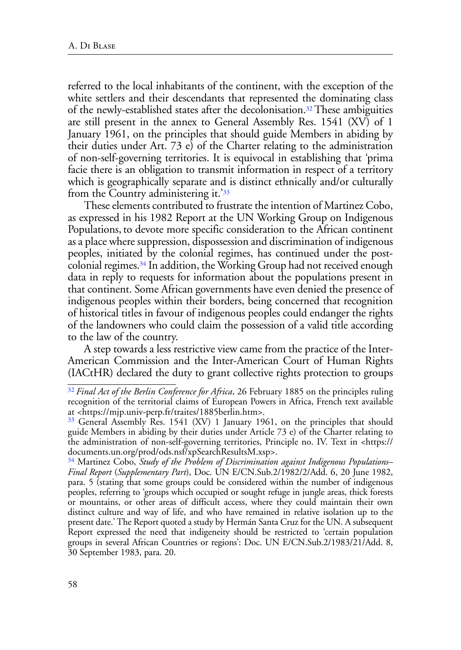<span id="page-13-3"></span>referred to the local inhabitants of the continent, with the exception of the white settlers and their descendants that represented the dominating class of the newly-established states after the decolonisation[.32 T](#page-13-0)hese ambiguities are still present in the annex to General Assembly Res. 1541 (XV) of 1 January 1961, on the principles that should guide Members in abiding by their duties under Art. 73 e) of the Charter relating to the administration of non-self-governing territories. It is equivocal in establishing that 'prima facie there is an obligation to transmit information in respect of a territory which is geographically separate and is distinct ethnically and/or culturally from the Country administering it.['33](#page-13-1)

<span id="page-13-5"></span><span id="page-13-4"></span>These elements contributed to frustrate the intention of Martinez Cobo, as expressed in his 1982 Report at the UN Working Group on Indigenous Populations, to devote more specific consideration to the African continent as a place where suppression, dispossession and discrimination of indigenous peoples, initiated by the colonial regimes, has continued under the postcolonial regimes[.34](#page-13-2) In addition, the Working Group had not received enough data in reply to requests for information about the populations present in that continent. Some African governments have even denied the presence of indigenous peoples within their borders, being concerned that recognition of historical titles in favour of indigenous peoples could endanger the rights of the landowners who could claim the possession of a valid title according to the law of the country.

A step towards a less restrictive view came from the practice of the Inter-American Commission and the Inter-American Court of Human Rights (IACtHR) declared the duty to grant collective rights protection to groups

<span id="page-13-2"></span>[34](#page-13-5) Martinez Cobo, *Study of the Problem of Discrimination against Indigenous Populations*– *Final Report* (*Supplementary Part*), Doc. UN E/CN.Sub.2/1982/2/Add. 6, 20 June 1982, para. 5 (stating that some groups could be considered within the number of indigenous peoples, referring to 'groups which occupied or sought refuge in jungle areas, thick forests or mountains, or other areas of difficult access, where they could maintain their own distinct culture and way of life, and who have remained in relative isolation up to the present date.' The Report quoted a study by Hermán Santa Cruz for the UN. A subsequent Report expressed the need that indigeneity should be restricted to 'certain population groups in several African Countries or regions': Doc. UN E/CN.Sub.2/1983/21/Add. 8, 30 September 1983, para. 20.

<span id="page-13-0"></span>[<sup>32</sup>](#page-13-3) *Final Act of the Berlin Conference for Africa*, 26 February 1885 on the principles ruling recognition of the territorial claims of European Powers in Africa, French text available at <https://mjp.univ-perp.fr/traites/1885berlin.htm>.

<span id="page-13-1"></span><sup>&</sup>lt;sup>33</sup> General Assembly Res. 1541 (XV) 1 January 1961, on the principles that should guide Members in abiding by their duties under Article 73 e) of the Charter relating to the administration of non-self-governing territories, Principle no. IV. Text in <https:// documents.un.org/prod/ods.nsf/xpSearchResultsM.xsp>.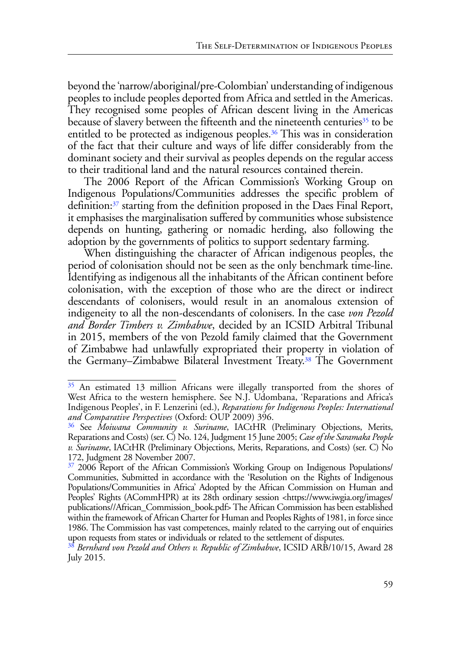<span id="page-14-5"></span><span id="page-14-4"></span>beyond the 'narrow/aboriginal/pre-Colombian' understanding of indigenous peoples to include peoples deported from Africa and settled in the Americas. They recognised some peoples of African descent living in the Americas because of slavery between the fifteenth and the nineteenth centuries<sup>35</sup> to be entitled to be protected as indigenous peoples.<sup>36</sup> This was in consideration of the fact that their culture and ways of life differ considerably from the dominant society and their survival as peoples depends on the regular access to their traditional land and the natural resources contained therein.

<span id="page-14-6"></span>The 2006 Report of the African Commission's Working Group on Indigenous Populations/Communities addresses the specific problem of definition:[37](#page-14-2) starting from the definition proposed in the Daes Final Report, it emphasises the marginalisation suffered by communities whose subsistence depends on hunting, gathering or nomadic herding, also following the adoption by the governments of politics to support sedentary farming.

When distinguishing the character of African indigenous peoples, the period of colonisation should not be seen as the only benchmark time-line. Identifying as indigenous all the inhabitants of the African continent before colonisation, with the exception of those who are the direct or indirect descendants of colonisers, would result in an anomalous extension of indigeneity to all the non-descendants of colonisers. In the case *von Pezold and Border Timbers v. Zimbabwe*, decided by an ICSID Arbitral Tribunal in 2015, members of the von Pezold family claimed that the Government of Zimbabwe had unlawfully expropriated their property in violation of the Germany–Zimbabwe Bilateral Investment Treaty.[38](#page-14-3) The Government

<span id="page-14-7"></span><span id="page-14-0"></span><sup>&</sup>lt;sup>35</sup> An estimated 13 million Africans were illegally transported from the shores of West Africa to the western hemisphere. See N.J. Udombana, 'Reparations and Africa's Indigenous Peoples', in F. Lenzerini (ed.), *Reparations for Indigenous Peoples: International and Comparative Perspectives* (Oxford: OUP 2009) 396.

<span id="page-14-1"></span>[<sup>36</sup>](#page-14-5) See *Moiwana Community v. Suriname*, IACtHR (Preliminary Objections, Merits, Reparations and Costs) (ser. C) No. 124, Judgment 15 June 2005; *Case of the Saramaka People v. Suriname*, IACtHR (Preliminary Objections, Merits, Reparations, and Costs) (ser. C) No 172, Judgment 28 November 2007.

<span id="page-14-2"></span>[<sup>37</sup>](#page-14-6) 2006 Report of the African Commission's Working Group on Indigenous Populations/ Communities, Submitted in accordance with the 'Resolution on the Rights of Indigenous Populations/Communities in Africa' Adopted by the African Commission on Human and Peoples' Rights (ACommHPR) at its 28th ordinary session <https://www.iwgia.org/images/ publications//African\_Commission\_book.pdf> The African Commission has been established within the framework of African Charter for Human and Peoples Rights of 1981, in force since 1986. The Commission has vast competences, mainly related to the carrying out of enquiries upon requests from states or individuals or related to the settlement of disputes.

<span id="page-14-3"></span>[<sup>38</sup>](#page-14-7) *Bernhard von Pezold and Others v. Republic of Zimbabwe*, ICSID ARB/10/15, Award 28 July 2015.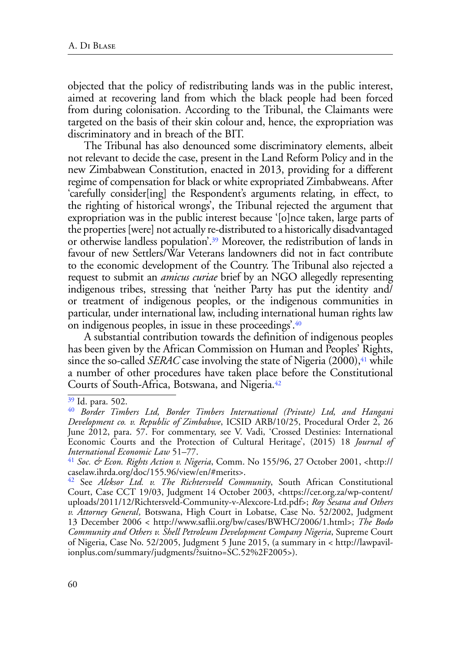objected that the policy of redistributing lands was in the public interest, aimed at recovering land from which the black people had been forced from during colonisation. According to the Tribunal, the Claimants were targeted on the basis of their skin colour and, hence, the expropriation was discriminatory and in breach of the BIT.

<span id="page-15-4"></span>The Tribunal has also denounced some discriminatory elements, albeit not relevant to decide the case, present in the Land Reform Policy and in the new Zimbabwean Constitution, enacted in 2013, providing for a different regime of compensation for black or white expropriated Zimbabweans. After 'carefully consider[ing] the Respondent's arguments relating, in effect, to the righting of historical wrongs', the Tribunal rejected the argument that expropriation was in the public interest because '[o]nce taken, large parts of the properties [were] not actually re-distributed to a historically disadvantaged or otherwise landless population'[.39](#page-15-0) Moreover, the redistribution of lands in favour of new Settlers/War Veterans landowners did not in fact contribute to the economic development of the Country. The Tribunal also rejected a request to submit an *amicus curiae* brief by an NGO allegedly representing indigenous tribes, stressing that 'neither Party has put the identity and/ or treatment of indigenous peoples, or the indigenous communities in particular, under international law, including international human rights law on indigenous peoples, in issue in these proceedings'[.40](#page-15-1)

<span id="page-15-6"></span><span id="page-15-5"></span>A substantial contribution towards the definition of indigenous peoples has been given by the African Commission on Human and Peoples' Rights, since the so-called *SERAC* case involving the state of Nigeria (2000),<sup>41</sup> while a number of other procedures have taken place before the Constitutional Courts of South-Africa, Botswana, and Nigeria[.42](#page-15-3)

<span id="page-15-7"></span><span id="page-15-0"></span>[<sup>39</sup>](#page-15-4) Id. para. 502.

<span id="page-15-1"></span>[<sup>40</sup>](#page-15-5) *Border Timbers Ltd, Border Timbers International (Private) Ltd, and Hangani Development co. v. Republic of Zimbabwe*, ICSID ARB/10/25, Procedural Order 2, 26 June 2012, para. 57. For commentary, see V. Vadi, 'Crossed Destinies: International Economic Courts and the Protection of Cultural Heritage', (2015) 18 *Journal of International Economic Law* 51–77.

<span id="page-15-2"></span>[<sup>41</sup>](#page-15-6) *Soc. & Econ. Rights Action v. Nigeria*, Comm. No 155/96, 27 October 2001, <http://

<span id="page-15-3"></span><sup>&</sup>lt;sup>42</sup> See *Aleksor Ltd. v. The Richtersveld Community*, South African Constitutional Court, Case CCT 19/03, Judgment 14 October 2003, <https://cer.org.za/wp-content/ uploads/2011/12/Richtersveld-Community-v-Alexcore-Ltd.pdf>; *Roy Sesana and Others v. Attorney General,* Botswana, High Court in Lobatse, Case No. 52/2002, Judgment 13 December 2006 < http://www.saflii.org/bw/cases/BWHC/2006/1.html>; *The Bodo Community and Others v. Shell Petroleum Development Company Nigeria*, Supreme Court of Nigeria, Case No. 52/2005, Judgment 5 June 2015, (a summary in < http://lawpavilionplus.com/summary/judgments/?suitno=SC.52%2F2005>).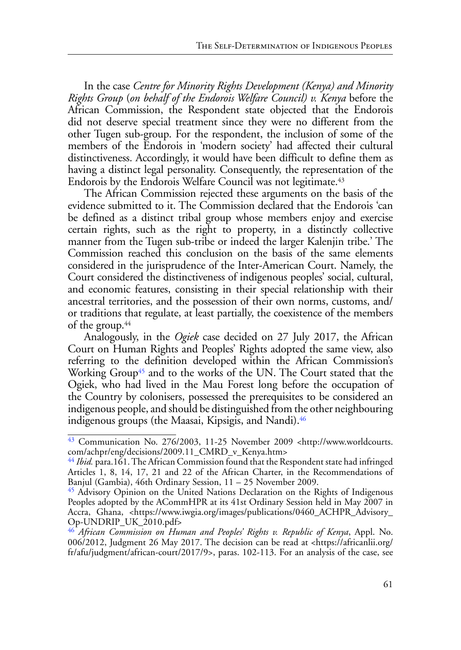In the case *Centre for Minority Rights Development (Kenya) and Minority Rights Group* (*on behalf of the Endorois Welfare Council) v. Kenya* before the African Commission, the Respondent state objected that the Endorois did not deserve special treatment since they were no different from the other Tugen sub-group. For the respondent, the inclusion of some of the members of the Endorois in 'modern society' had affected their cultural distinctiveness. Accordingly, it would have been difficult to define them as having a distinct legal personality. Consequently, the representation of the Endorois by the Endorois Welfare Council was not legitimate.<sup>43</sup>

<span id="page-16-4"></span>The African Commission rejected these arguments on the basis of the evidence submitted to it. The Commission declared that the Endorois 'can be defined as a distinct tribal group whose members enjoy and exercise certain rights, such as the right to property, in a distinctly collective manner from the Tugen sub-tribe or indeed the larger Kalenjin tribe.' The Commission reached this conclusion on the basis of the same elements considered in the jurisprudence of the Inter-American Court. Namely, the Court considered the distinctiveness of indigenous peoples' social, cultural, and economic features, consisting in their special relationship with their ancestral territories, and the possession of their own norms, customs, and/ or traditions that regulate, at least partially, the coexistence of the members of the group.<sup>44</sup>

<span id="page-16-6"></span><span id="page-16-5"></span>Analogously, in the *Ogiek* case decided on 27 July 2017, the African Court on Human Rights and Peoples' Rights adopted the same view, also referring to the definition developed within the African Commission's Working Group<sup>[45](#page-16-2)</sup> and to the works of the UN. The Court stated that the Ogiek, who had lived in the Mau Forest long before the occupation of the Country by colonisers, possessed the prerequisites to be considered an indigenous people, and should be distinguished from the other neighbouring indigenous groups (the Maasai, Kipsigis, and Nandi)[.46](#page-16-3)

<span id="page-16-7"></span><span id="page-16-0"></span>[<sup>43</sup>](#page-16-4) Communication No. 276/2003, 11-25 November 2009 <http://www.worldcourts. com/achpr/eng/decisions/2009.11\_CMRD\_v\_Kenya.htm>

<span id="page-16-1"></span>[<sup>44</sup>](#page-16-5) *Ibid.* para.161. The African Commission found that the Respondent state had infringed Articles 1, 8, 14, 17, 21 and 22 of the African Charter, in the Recommendations of Banjul (Gambia), 46th Ordinary Session, 11 – 25 November 2009.

<span id="page-16-2"></span>[<sup>45</sup>](#page-16-6) Advisory Opinion on the United Nations Declaration on the Rights of Indigenous Peoples adopted by the ACommHPR at its 41st Ordinary Session held in May 2007 in Accra, Ghana, <https://www.iwgia.org/images/publications/0460\_ACHPR\_Advisory\_ Op-UNDRIP\_UK\_2010.pdf>

<span id="page-16-3"></span>[<sup>46</sup>](#page-16-7) *African Commission on Human and Peoples' Rights v. Republic of Kenya*, Appl. No. 006/2012, Judgment 26 May 2017. The decision can be read at [<https://africanlii.org/](https://africanlii.org/fr/afu/judgment/african-court/2017/9) [fr/afu/judgment/african-court/2017/9>](https://africanlii.org/fr/afu/judgment/african-court/2017/9), paras. 102-113. For an analysis of the case, see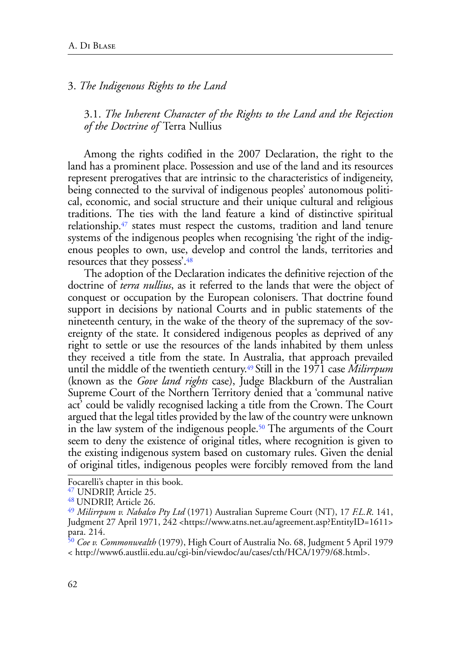#### 3. *The Indigenous Rights to the Land*

3.1. *The Inherent Character of the Rights to the Land and the Rejection of the Doctrine of* Terra Nullius

Among the rights codified in the 2007 Declaration, the right to the land has a prominent place. Possession and use of the land and its resources represent prerogatives that are intrinsic to the characteristics of indigeneity, being connected to the survival of indigenous peoples' autonomous political, economic, and social structure and their unique cultural and religious traditions. The ties with the land feature a kind of distinctive spiritual relationship.[47](#page-17-0) states must respect the customs, tradition and land tenure systems of the indigenous peoples when recognising 'the right of the indigenous peoples to own, use, develop and control the lands, territories and resources that they possess'.[48](#page-17-1)

<span id="page-17-6"></span><span id="page-17-5"></span><span id="page-17-4"></span>The adoption of the Declaration indicates the definitive rejection of the doctrine of *terra nullius*, as it referred to the lands that were the object of conquest or occupation by the European colonisers. That doctrine found support in decisions by national Courts and in public statements of the nineteenth century, in the wake of the theory of the supremacy of the sovereignty of the state. It considered indigenous peoples as deprived of any right to settle or use the resources of the lands inhabited by them unless they received a title from the state. In Australia, that approach prevailed until the middle of the twentieth century[.49 S](#page-17-2)till in the 1971 case *Milirrpum* (known as the *Gove land rights* case), Judge Blackburn of the Australian Supreme Court of the Northern Territory denied that a 'communal native act' could be validly recognised lacking a title from the Crown. The Court argued that the legal titles provided by the law of the country were unknown in the law system of the indigenous people[.50](#page-17-3) The arguments of the Court seem to deny the existence of original titles, where recognition is given to the existing indigenous system based on customary rules. Given the denial of original titles, indigenous peoples were forcibly removed from the land

<span id="page-17-7"></span>Focarelli's chapter in this book.

<span id="page-17-0"></span>[<sup>47</sup>](#page-17-4) UNDRIP, Article 25.

<span id="page-17-1"></span>[<sup>48</sup>](#page-17-5) UNDRIP, Article 26.

<span id="page-17-2"></span>[<sup>49</sup>](#page-17-6) *Milirrpum v. Nabalco Pty Ltd* (1971) Australian Supreme Court (NT), 17 *F.L.R*. 141, Judgment 27 April 1971, 242 [<https://www.atns.net.au/agreement.asp?EntityID=1611](https://www.atns.net.au/agreement.asp?EntityID=1611)> para. 214.

<span id="page-17-3"></span>[<sup>50</sup>](#page-17-7) *Coe v. Commonwealth* (1979), High Court of Australia No. 68, Judgment 5 April 1979 < http://www6.austlii.edu.au/cgi-bin/viewdoc/au/cases/cth/HCA/1979/68.html>.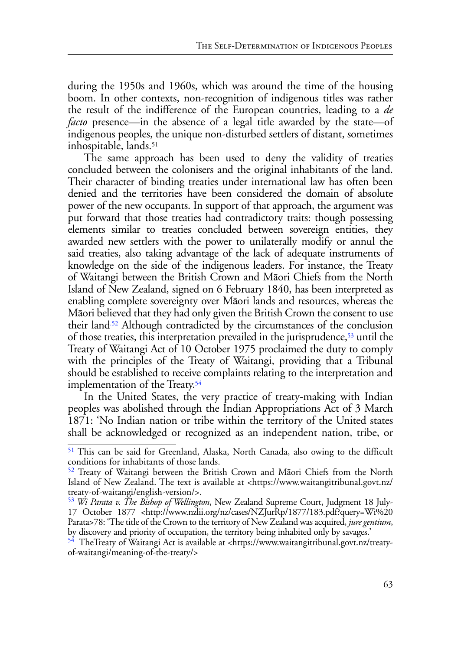during the 1950s and 1960s, which was around the time of the housing boom. In other contexts, non-recognition of indigenous titles was rather the result of the indifference of the European countries, leading to a *de facto* presence—in the absence of a legal title awarded by the state—of indigenous peoples, the unique non-disturbed settlers of distant, sometimes inhospitable, lands.[51](#page-18-0)

<span id="page-18-4"></span>The same approach has been used to deny the validity of treaties concluded between the colonisers and the original inhabitants of the land. Their character of binding treaties under international law has often been denied and the territories have been considered the domain of absolute power of the new occupants. In support of that approach, the argument was put forward that those treaties had contradictory traits: though possessing elements similar to treaties concluded between sovereign entities, they awarded new settlers with the power to unilaterally modify or annul the said treaties, also taking advantage of the lack of adequate instruments of knowledge on the side of the indigenous leaders. For instance, the Treaty of Waitangi between the British Crown and Māori Chiefs from the North Island of New Zealand, signed on 6 February 1840, has been interpreted as enabling complete sovereignty over Māori lands and resources, whereas the Māori believed that they had only given the British Crown the consent to use their lan[d.52](#page-18-1) Although contradicted by the circumstances of the conclusion of those treaties, this interpretation prevailed in the jurisprudence[,53](#page-18-2) until the Treaty of Waitangi Act of 10 October 1975 proclaimed the duty to comply with the principles of the Treaty of Waitangi, providing that a Tribunal should be established to receive complaints relating to the interpretation and implementation of the Treaty.<sup>54</sup>

<span id="page-18-7"></span><span id="page-18-6"></span><span id="page-18-5"></span>In the United States, the very practice of treaty-making with Indian peoples was abolished through the Indian Appropriations Act of 3 March 1871: 'No Indian nation or tribe within the territory of the United states shall be acknowledged or recognized as an independent nation, tribe, or

<span id="page-18-0"></span>[<sup>51</sup>](#page-18-4) This can be said for Greenland, Alaska, North Canada, also owing to the difficult conditions for inhabitants of those lands.

<span id="page-18-1"></span>[<sup>52</sup>](#page-18-5) Treaty of Waitangi between the British Crown and Māori Chiefs from the North Island of New Zealand. The text is available at <[https://www.waitangitribunal.govt.nz/](https://www.waitangitribunal.govt.nz/treaty-of-waitangi/english-version/) [treaty-of-waitangi/english-version/>](https://www.waitangitribunal.govt.nz/treaty-of-waitangi/english-version/).<br><sup>[53](#page-18-6)</sup> Wi Parata v. The Bishop of Wellington, New Zealand Supreme Court, Judgment 18 July-

<span id="page-18-2"></span><sup>17</sup> October 1877 [<http://www.nzlii.org/nz/cases/NZJurRp/1877/183.pdf?query=Wi%20](http://www.nzlii.org/nz/cases/NZJurRp/1877/183.pdf?query=Wi%20Parata) [Parata](http://www.nzlii.org/nz/cases/NZJurRp/1877/183.pdf?query=Wi%20Parata)>78: 'The title of the Crown to the territory of New Zealand was acquired, *jure gentium*, by discovery and priority of occupation, the territory being inhabited only by savages.'

<span id="page-18-3"></span>[<sup>54</sup>](#page-18-7) TheTreaty of Waitangi Act is available at <https://www.waitangitribunal.govt.nz/treatyof-waitangi/meaning-of-the-treaty/>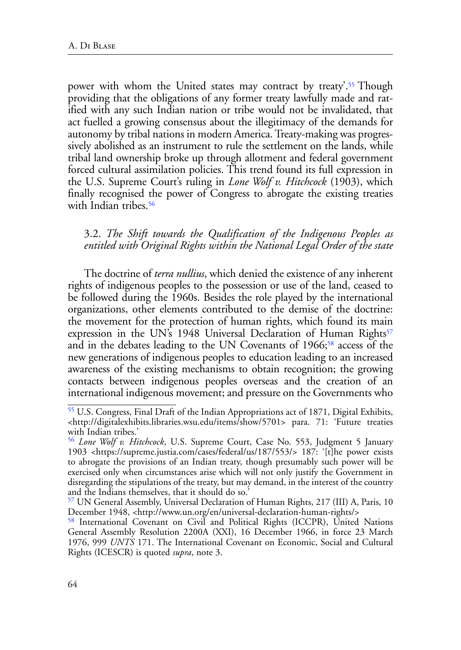<span id="page-19-4"></span>power with whom the United states may contract by treaty'[.55](#page-19-0) Though providing that the obligations of any former treaty lawfully made and ratified with any such Indian nation or tribe would not be invalidated, that act fuelled a growing consensus about the illegitimacy of the demands for autonomy by tribal nations in modern America. Treaty-making was progressively abolished as an instrument to rule the settlement on the lands, while tribal land ownership broke up through allotment and federal government forced cultural assimilation policies. This trend found its full expression in the U.S. Supreme Court's ruling in *Lone Wolf v. Hitchcock* (1903), which finally recognised the power of Congress to abrogate the existing treaties with Indian tribes.<sup>56</sup>

<span id="page-19-6"></span><span id="page-19-5"></span>3.2. *The Shift towards the Qualification of the Indigenous Peoples as entitled with Original Rights within the National Legal Order of the state*

<span id="page-19-7"></span>The doctrine of *terra nullius*, which denied the existence of any inherent rights of indigenous peoples to the possession or use of the land, ceased to be followed during the 1960s. Besides the role played by the international organizations, other elements contributed to the demise of the doctrine: the movement for the protection of human rights, which found its main expression in the UN's 1948 Universal Declaration of Human Rights<sup>57</sup> and in the debates leading to the UN Covenants of 1966;<sup>58</sup> access of the new generations of indigenous peoples to education leading to an increased awareness of the existing mechanisms to obtain recognition; the growing contacts between indigenous peoples overseas and the creation of an international indigenous movement; and pressure on the Governments who

<span id="page-19-0"></span>[<sup>55</sup>](#page-19-4) U.S. Congress, Final Draft of the Indian Appropriations act of 1871, Digital Exhibits, <[http://digitalexhibits.libraries.wsu.edu/items/show/5701>](http://digitalexhibits.libraries.wsu.edu/items/show/5701) para. 71: 'Future treaties with Indian tribes.'

<span id="page-19-1"></span>[<sup>56</sup>](#page-19-5) *Lone Wolf v. Hitchcock*, U.S. Supreme Court, Case No. 553, Judgment 5 January 1903 [<https://supreme.justia.com/cases/federal/us/187/553/>](https://supreme.justia.com/cases/federal/us/187/553/) 187: '[t]he power exists to abrogate the provisions of an Indian treaty, though presumably such power will be exercised only when circumstances arise which will not only justify the Government in disregarding the stipulations of the treaty, but may demand, in the interest of the country and the Indians themselves, that it should do so.'

<span id="page-19-2"></span>[<sup>57</sup>](#page-19-6) UN General Assembly, Universal Declaration of Human Rights, 217 (III) A, Paris, 10 December 1948, <http://www.un.org/en/universal-declaration-human-rights/>

<span id="page-19-3"></span>[<sup>58</sup>](#page-19-7) International Covenant on Civil and Political Rights (ICCPR), United Nations General Assembly Resolution 2200A (XXI), 16 December 1966, in force 23 March 1976, 999 *UNTS* 171. The International Covenant on Economic, Social and Cultural Rights (ICESCR) is quoted *supra*, note 3.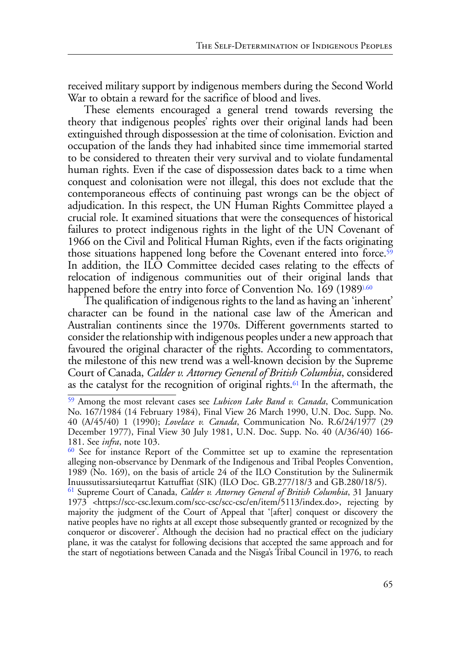received military support by indigenous members during the Second World War to obtain a reward for the sacrifice of blood and lives.

These elements encouraged a general trend towards reversing the theory that indigenous peoples' rights over their original lands had been extinguished through dispossession at the time of colonisation. Eviction and occupation of the lands they had inhabited since time immemorial started to be considered to threaten their very survival and to violate fundamental human rights. Even if the case of dispossession dates back to a time when conquest and colonisation were not illegal, this does not exclude that the contemporaneous effects of continuing past wrongs can be the object of adjudication. In this respect, the UN Human Rights Committee played a crucial role. It examined situations that were the consequences of historical failures to protect indigenous rights in the light of the UN Covenant of 1966 on the Civil and Political Human Rights, even if the facts originating those situations happened long before the Covenant entered into force.<sup>59</sup> In addition, the ILO Committee decided cases relating to the effects of relocation of indigenous communities out of their original lands that happened before the entry into force of Convention No. 169 (1989[\).60](#page-20-1)

<span id="page-20-4"></span><span id="page-20-3"></span>The qualification of indigenous rights to the land as having an 'inherent' character can be found in the national case law of the American and Australian continents since the 1970s. Different governments started to consider the relationship with indigenous peoples under a new approach that favoured the original character of the rights. According to commentators, the milestone of this new trend was a well-known decision by the Supreme Court of Canada, *Calder v. Attorney General of British Columbia*, considered as the catalyst for the recognition of original rights.<sup>61</sup> In the aftermath, the

<span id="page-20-5"></span><span id="page-20-0"></span>[<sup>59</sup>](#page-20-3) Among the most relevant cases see *Lubicon Lake Band v. Canada*, Communication No. 167/1984 (14 February 1984), Final View 26 March 1990, U.N. Doc. Supp. No. 40 (A/45/40) 1 (1990); *Lovelace v. Canada*, Communication No. R.6/24/1977 (29 December 1977), Final View 30 July 1981, U.N. Doc. Supp. No. 40 (A/36/40) 166- 181. See *infra*, note 103.

<span id="page-20-1"></span>[<sup>60</sup>](#page-20-4) See for instance Report of the Committee set up to examine the representation alleging non-observance by Denmark of the Indigenous and Tribal Peoples Convention, 1989 (No. 169), on the basis of article 24 of the ILO Constitution by the Sulinermik Inuussutissarsiuteqartut Kattuffiat (SIK) (ILO Doc. GB.277/18/3 and GB.280/18/5).

<span id="page-20-2"></span>[<sup>61</sup>](#page-20-5) Supreme Court of Canada, *Calder v. Attorney General of British Columbia*, 31 January 1973 <<https://scc-csc.lexum.com/scc-csc/scc-csc/en/item/5113/index.do>>, rejecting by majority the judgment of the Court of Appeal that '[after] conquest or discovery the native peoples have no rights at all except those subsequently granted or recognized by the conqueror or discoverer'. Although the decision had no practical effect on the judiciary plane, it was the catalyst for following decisions that accepted the same approach and for the start of negotiations between Canada and the Nisga's Tribal Council in 1976, to reach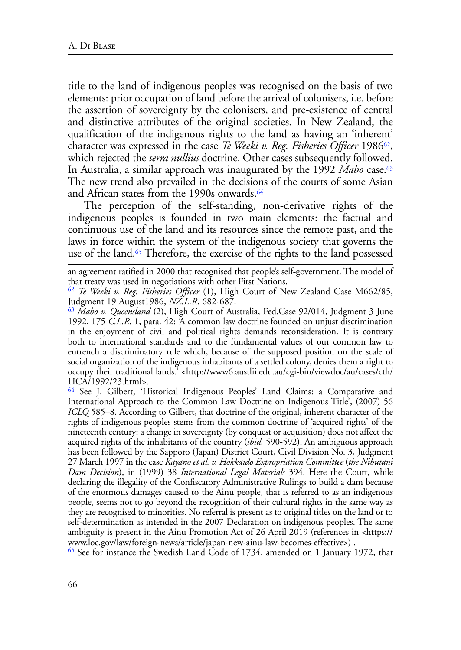<span id="page-21-4"></span>title to the land of indigenous peoples was recognised on the basis of two elements: prior occupation of land before the arrival of colonisers, i.e. before the assertion of sovereignty by the colonisers, and pre-existence of central and distinctive attributes of the original societies. In New Zealand, the qualification of the indigenous rights to the land as having an 'inherent' character was expressed in the case *Te Weeki v. Reg. Fisheries Officer* 198[662](#page-21-0), which rejected the *terra nullius* doctrine. Other cases subsequently followed. In Australia, a similar approach was inaugurated by the 1992 *Mabo* case.<sup>63</sup> The new trend also prevailed in the decisions of the courts of some Asian and African states from the 1990s onwards.<sup>64</sup>

<span id="page-21-6"></span><span id="page-21-5"></span>The perception of the self-standing, non-derivative rights of the indigenous peoples is founded in two main elements: the factual and continuous use of the land and its resources since the remote past, and the laws in force within the system of the indigenous society that governs the use of the land[.65](#page-21-3) Therefore, the exercise of the rights to the land possessed

<span id="page-21-7"></span>an agreement ratified in 2000 that recognised that people's self-government. The model of that treaty was used in negotiations with other First Nations.

<span id="page-21-0"></span>[62](#page-21-4) *Te Weeki v. Reg. Fisheries Officer* (1), High Court of New Zealand Case M662/85, Judgment 19 August1986, *NZ.L.R*. 682-687.

<span id="page-21-1"></span>[63](#page-21-5) *Mabo v. Queensland* (2), High Court of Australia, Fed.Case 92/014, Judgment 3 June 1992, 175 *C.L.R*. 1, para. 42: 'A common law doctrine founded on unjust discrimination in the enjoyment of civil and political rights demands reconsideration. It is contrary both to international standards and to the fundamental values of our common law to entrench a discriminatory rule which, because of the supposed position on the scale of social organization of the indigenous inhabitants of a settled colony, denies them a right to occupy their traditional lands.' <[http://www6.austlii.edu.au/cgi-bin/viewdoc/au/cases/cth/](http://www6.austlii.edu.au/cgi-bin/viewdoc/au/cases/cth/HCA/1992/23.html)

<span id="page-21-2"></span>[HCA/1992/23.html](http://www6.austlii.edu.au/cgi-bin/viewdoc/au/cases/cth/HCA/1992/23.html)>.<br><sup>64</sup> See J. Gilbert, 'Historical Indigenous Peoples' Land Claims: a Comparative and International Approach to the Common Law Doctrine on Indigenous Title', (2007) 56 *ICLQ* 585–8. According to Gilbert, that doctrine of the original, inherent character of the rights of indigenous peoples stems from the common doctrine of 'acquired rights' of the nineteenth century: a change in sovereignty (by conquest or acquisition) does not affect the acquired rights of the inhabitants of the country (*ibid.* 590-592). An ambiguous approach has been followed by the Sapporo (Japan) District Court, Civil Division No. 3, Judgment 27 March 1997 in the case *Kayano et al. v. Hokkaido Expropriation Committee* (*the Nibutani Dam Decision*), in (1999) 38 *International Legal Materials* 394. Here the Court, while declaring the illegality of the Confiscatory Administrative Rulings to build a dam because of the enormous damages caused to the Ainu people, that is referred to as an indigenous people, seems not to go beyond the recognition of their cultural rights in the same way as they are recognised to minorities. No referral is present as to original titles on the land or to self-determination as intended in the 2007 Declaration on indigenous peoples. The same ambiguity is present in the Ainu Promotion Act of 26 April 2019 (references in [<https://](https://www.loc.gov/law/foreign-news/article/japan-new-ainu-law-becomes-effective) [www.loc.gov/law/foreign-news/article/japan-new-ainu-law-becomes-effective](https://www.loc.gov/law/foreign-news/article/japan-new-ainu-law-becomes-effective)>) .

<span id="page-21-3"></span>[65](#page-21-7) See for instance the Swedish Land Code of 1734, amended on 1 January 1972, that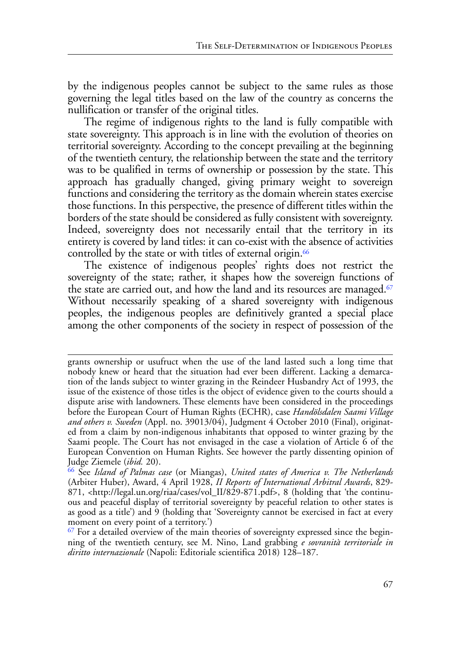by the indigenous peoples cannot be subject to the same rules as those governing the legal titles based on the law of the country as concerns the nullification or transfer of the original titles.

The regime of indigenous rights to the land is fully compatible with state sovereignty. This approach is in line with the evolution of theories on territorial sovereignty. According to the concept prevailing at the beginning of the twentieth century, the relationship between the state and the territory was to be qualified in terms of ownership or possession by the state. This approach has gradually changed, giving primary weight to sovereign functions and considering the territory as the domain wherein states exercise those functions. In this perspective, the presence of different titles within the borders of the state should be considered as fully consistent with sovereignty. Indeed, sovereignty does not necessarily entail that the territory in its entirety is covered by land titles: it can co-exist with the absence of activities controlled by the state or with titles of external origin.<sup>[66](#page-22-0)</sup>

<span id="page-22-3"></span><span id="page-22-2"></span>The existence of indigenous peoples' rights does not restrict the sovereignty of the state; rather, it shapes how the sovereign functions of the state are carried out, and how the land and its resources are managed.<sup>67</sup> Without necessarily speaking of a shared sovereignty with indigenous peoples, the indigenous peoples are definitively granted a special place among the other components of the society in respect of possession of the

grants ownership or usufruct when the use of the land lasted such a long time that nobody knew or heard that the situation had ever been different. Lacking a demarcation of the lands subject to winter grazing in the Reindeer Husbandry Act of 1993, the issue of the existence of those titles is the object of evidence given to the courts should a dispute arise with landowners. These elements have been considered in the proceedings before the European Court of Human Rights (ECHR), case *Handölsdalen Saami Village and others v. Sweden* (Appl. no. 39013/04), Judgment 4 October 2010 (Final), originated from a claim by non-indigenous inhabitants that opposed to winter grazing by the Saami people. The Court has not envisaged in the case a violation of Article 6 of the European Convention on Human Rights. See however the partly dissenting opinion of Judge Ziemele (*ibid.* 20).

<span id="page-22-0"></span>[<sup>66</sup>](#page-22-2) See *Island of Palmas case* (or Miangas), *United states of America v. The Netherlands* (Arbiter Huber), Award, 4 April 1928, *II Reports of International Arbitral Awards*, 829- 871, <[http://legal.un.org/riaa/cases/vol\\_II/829-871.pdf](http://legal.un.org/riaa/cases/vol_II/829-871.pdf)>, 8 (holding that 'the continuous and peaceful display of territorial sovereignty by peaceful relation to other states is as good as a title') and 9 (holding that 'Sovereignty cannot be exercised in fact at every moment on every point of a territory.')

<span id="page-22-1"></span><sup>&</sup>lt;sup>67</sup> For a detailed overview of the main theories of sovereignty expressed since the beginning of the twentieth century, see M. Nino, Land grabbing *e sovranità territoriale in diritto internazionale* (Napoli: Editoriale scientifica 2018) 128–187.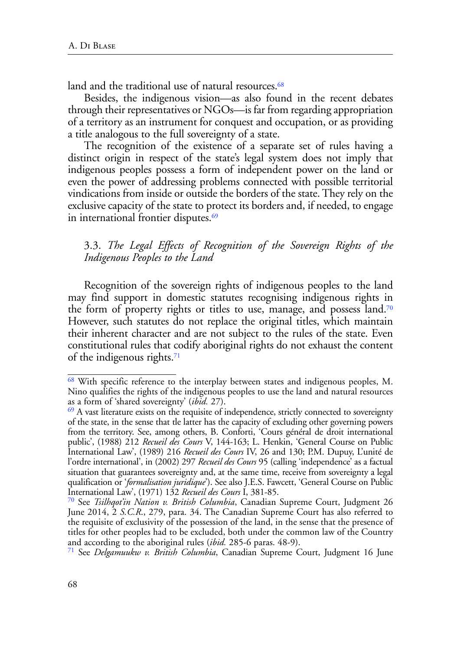<span id="page-23-4"></span>land and the traditional use of natural resources.<sup>68</sup>

Besides, the indigenous vision—as also found in the recent debates through their representatives or NGOs—is far from regarding appropriation of a territory as an instrument for conquest and occupation, or as providing a title analogous to the full sovereignty of a state.

The recognition of the existence of a separate set of rules having a distinct origin in respect of the state's legal system does not imply that indigenous peoples possess a form of independent power on the land or even the power of addressing problems connected with possible territorial vindications from inside or outside the borders of the state. They rely on the exclusive capacity of the state to protect its borders and, if needed, to engage in international frontier disputes.<sup>69</sup>

## <span id="page-23-5"></span>3.3. *The Legal Effects of Recognition of the Sovereign Rights of the Indigenous Peoples to the Land*

<span id="page-23-6"></span>Recognition of the sovereign rights of indigenous peoples to the land may find support in domestic statutes recognising indigenous rights in the form of property rights or titles to use, manage, and possess land[.70](#page-23-2) However, such statutes do not replace the original titles, which maintain their inherent character and are not subject to the rules of the state. Even constitutional rules that codify aboriginal rights do not exhaust the content of the indigenous rights.[71](#page-23-3)

<span id="page-23-7"></span><span id="page-23-0"></span>[<sup>68</sup>](#page-23-4) With specific reference to the interplay between states and indigenous peoples, M. Nino qualifies the rights of the indigenous peoples to use the land and natural resources as a form of 'shared sovereignty' (*ibid.* 27).

<span id="page-23-1"></span><sup>&</sup>lt;sup>69</sup> A vast literature exists on the requisite of independence, strictly connected to sovereignty of the state, in the sense that tle latter has the capacity of excluding other governing powers from the territory. See, among others, B. Conforti, 'Cours général de droit international public', (1988) 212 *Recueil des Cours* V, 144-163; L. Henkin, 'General Course on Public International Law', (1989) 216 *Recueil des Cours* IV, 26 and 130; P.M. Dupuy, L'unité de l'ordre international', in (2002) 297 *Recueil des Cours* 95 (calling 'independence' as a factual situation that guarantees sovereignty and, at the same time, receive from sovereignty a legal qualification or '*formalisation juridique*'). See also J.E.S. Fawcett, 'General Course on Public International Law', (1971) 132 *Recueil des Cours* I, 381-85.

<span id="page-23-2"></span>[<sup>70</sup>](#page-23-6) See *Tsilhqot'in Nation v. British Columbia*, Canadian Supreme Court, Judgment 26 June 2014, 2 *S.C.R*., 279, para. 34. The Canadian Supreme Court has also referred to the requisite of exclusivity of the possession of the land, in the sense that the presence of titles for other peoples had to be excluded, both under the common law of the Country and according to the aboriginal rules (*ibid.* 285-6 paras. 48-9).

<span id="page-23-3"></span>[<sup>71</sup>](#page-23-7) See *Delgamuukw v. British Columbia*, Canadian Supreme Court, Judgment 16 June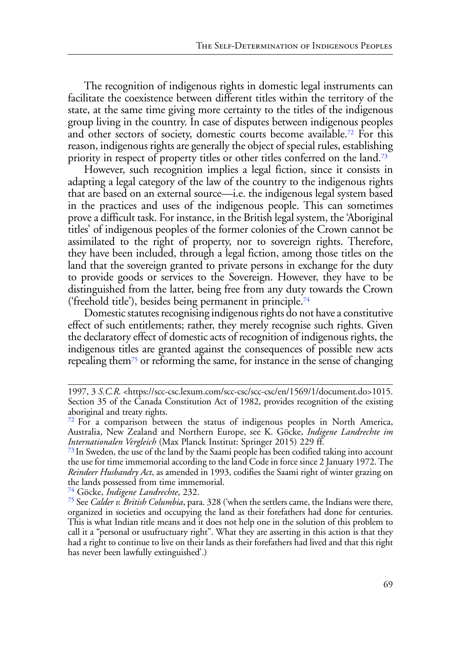The recognition of indigenous rights in domestic legal instruments can facilitate the coexistence between different titles within the territory of the state, at the same time giving more certainty to the titles of the indigenous group living in the country. In case of disputes between indigenous peoples and other sectors of society, domestic courts become available.<sup>72</sup> For this reason, indigenous rights are generally the object of special rules, establishing priority in respect of property titles or other titles conferred on the land.[73](#page-24-1)

<span id="page-24-5"></span><span id="page-24-4"></span>However, such recognition implies a legal fiction, since it consists in adapting a legal category of the law of the country to the indigenous rights that are based on an external source—i.e. the indigenous legal system based in the practices and uses of the indigenous people. This can sometimes prove a difficult task. For instance, in the British legal system, the 'Aboriginal titles' of indigenous peoples of the former colonies of the Crown cannot be assimilated to the right of property, nor to sovereign rights. Therefore, they have been included, through a legal fiction, among those titles on the land that the sovereign granted to private persons in exchange for the duty to provide goods or services to the Sovereign. However, they have to be distinguished from the latter, being free from any duty towards the Crown ('freehold title'), besides being permanent in principle[.74](#page-24-2)

<span id="page-24-6"></span>Domestic statutes recognising indigenous rights do not have a constitutive effect of such entitlements; rather, they merely recognise such rights. Given the declaratory effect of domestic acts of recognition of indigenous rights, the indigenous titles are granted against the consequences of possible new acts repealing the[m75](#page-24-3) or reforming the same, for instance in the sense of changing

<span id="page-24-2"></span>[74](#page-24-6) Göcke, *Indigene Landrechte*, 232.

<span id="page-24-7"></span><sup>1997, 3</sup> *S.C.R*. <[https://scc-csc.lexum.com/scc-csc/scc-csc/en/1569/1/document.do>1015.](https://scc-csc.lexum.com/scc-csc/scc-csc/en/1569/1/document.do%3e1015) Section 35 of the Canada Constitution Act of 1982, provides recognition of the existing aboriginal and treaty rights.

<span id="page-24-0"></span>[<sup>72</sup>](#page-24-4) For a comparison between the status of indigenous peoples in North America, Australia, New Zealand and Northern Europe, see K. Göcke, *Indigene Landrechte im Internationalen Vergleich* (Max Planck Institut: Springer 2015) 229 ff.

<span id="page-24-1"></span> $73$  In Sweden, the use of the land by the Saami people has been codified taking into account the use for time immemorial according to the land Code in force since 2 January 1972. The *Reindeer Husbandry Act*, as amended in 1993, codifies the Saami right of winter grazing on the lands possessed from time immemorial.

<span id="page-24-3"></span>[<sup>75</sup>](#page-24-7) See *Calder v. British Columbia*, para. 328 ('when the settlers came, the Indians were there, organized in societies and occupying the land as their forefathers had done for centuries. This is what Indian title means and it does not help one in the solution of this problem to call it a "personal or usufructuary right". What they are asserting in this action is that they had a right to continue to live on their lands as their forefathers had lived and that this right has never been lawfully extinguished'.)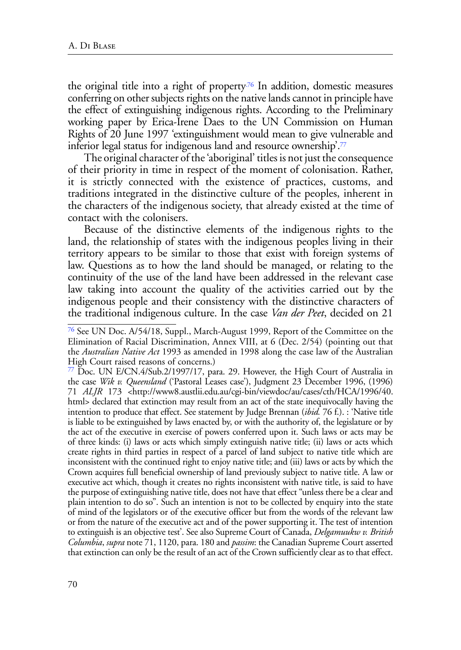<span id="page-25-2"></span>the original title into a right of propert[y.76](#page-25-0) In addition, domestic measures conferring on other subjects rights on the native lands cannot in principle have the effect of extinguishing indigenous rights. According to the Preliminary working paper by Erica-Irene Daes to the UN Commission on Human Rights of 20 June 1997 'extinguishment would mean to give vulnerable and inferior legal status for indigenous land and resource ownership'.<sup>[77](#page-25-1)</sup>

<span id="page-25-3"></span>The original character of the 'aboriginal' titles is not just the consequence of their priority in time in respect of the moment of colonisation. Rather, it is strictly connected with the existence of practices, customs, and traditions integrated in the distinctive culture of the peoples, inherent in the characters of the indigenous society, that already existed at the time of contact with the colonisers.

Because of the distinctive elements of the indigenous rights to the land, the relationship of states with the indigenous peoples living in their territory appears to be similar to those that exist with foreign systems of law. Questions as to how the land should be managed, or relating to the continuity of the use of the land have been addressed in the relevant case law taking into account the quality of the activities carried out by the indigenous people and their consistency with the distinctive characters of the traditional indigenous culture. In the case *Van der Peet*, decided on 21

<span id="page-25-1"></span>[77](#page-25-3) Doc. UN E/CN.4/Sub.2/1997/17, para. 29. However, the High Court of Australia in the case *Wik v. Queensland* ('Pastoral Leases case'), Judgment 23 December 1996, (1996) 71 *ALJR* 173 [<http://www8.austlii.edu.au/cgi-bin/viewdoc/au/cases/cth/HCA/1996/40.](http://www8.austlii.edu.au/cgi-bin/viewdoc/au/cases/cth/HCA/1996/40.html) [html>](http://www8.austlii.edu.au/cgi-bin/viewdoc/au/cases/cth/HCA/1996/40.html) declared that extinction may result from an act of the state inequivocally having the intention to produce that effect. See statement by Judge Brennan (*ibid.* 76 f.). : 'Native title is liable to be extinguished by laws enacted by, or with the authority of, the legislature or by the act of the executive in exercise of powers conferred upon it. Such laws or acts may be of three kinds: (i) laws or acts which simply extinguish native title; (ii) laws or acts which create rights in third parties in respect of a parcel of land subject to native title which are inconsistent with the continued right to enjoy native title; and (iii) laws or acts by which the Crown acquires full beneficial ownership of land previously subject to native title. A law or executive act which, though it creates no rights inconsistent with native title, is said to have the purpose of extinguishing native title, does not have that effect "unless there be a clear and plain intention to do so". Such an intention is not to be collected by enquiry into the state of mind of the legislators or of the executive officer but from the words of the relevant law or from the nature of the executive act and of the power supporting it. The test of intention to extinguish is an objective test'. See also Supreme Court of Canada, *Delgamuukw v. British Columbia*, *supra* note 71, 1120, para. 180 and *passim*: the Canadian Supreme Court asserted that extinction can only be the result of an act of the Crown sufficiently clear as to that effect.

<span id="page-25-0"></span>[<sup>76</sup>](#page-25-2) See UN Doc. A/54/18, Suppl., March-August 1999, Report of the Committee on the Elimination of Racial Discrimination, Annex VIII, at 6 (Dec. 2/54) (pointing out that the *Australian Native Act* 1993 as amended in 1998 along the case law of the Australian High Court raised reasons of concerns.)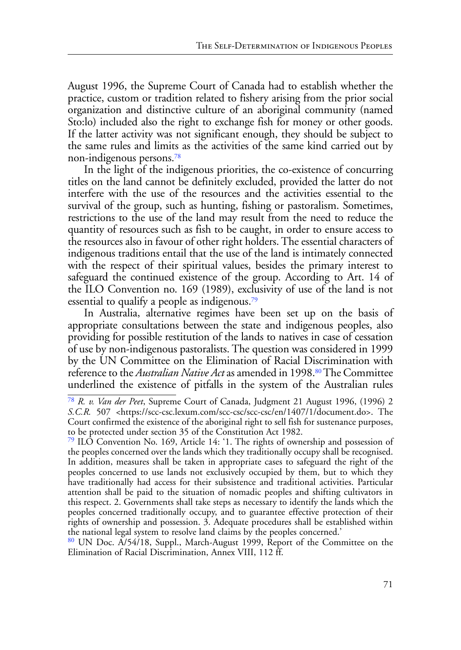August 1996, the Supreme Court of Canada had to establish whether the practice, custom or tradition related to fishery arising from the prior social organization and distinctive culture of an aboriginal community (named Sto:lo) included also the right to exchange fish for money or other goods. If the latter activity was not significant enough, they should be subject to the same rules and limits as the activities of the same kind carried out by non-indigenous persons[.78](#page-26-0)

<span id="page-26-3"></span>In the light of the indigenous priorities, the co-existence of concurring titles on the land cannot be definitely excluded, provided the latter do not interfere with the use of the resources and the activities essential to the survival of the group, such as hunting, fishing or pastoralism. Sometimes, restrictions to the use of the land may result from the need to reduce the quantity of resources such as fish to be caught, in order to ensure access to the resources also in favour of other right holders. The essential characters of indigenous traditions entail that the use of the land is intimately connected with the respect of their spiritual values, besides the primary interest to safeguard the continued existence of the group. According to Art. 14 of the ILO Convention no. 169 (1989), exclusivity of use of the land is not essential to qualify a people as indigenous.[79](#page-26-1)

<span id="page-26-4"></span>In Australia, alternative regimes have been set up on the basis of appropriate consultations between the state and indigenous peoples, also providing for possible restitution of the lands to natives in case of cessation of use by non-indigenous pastoralists. The question was considered in 1999 by the UN Committee on the Elimination of Racial Discrimination with reference to the *Australian Native Act* as amended in 1998.<sup>80</sup> The Committee underlined the existence of pitfalls in the system of the Australian rules

<span id="page-26-2"></span>[80](#page-26-5) UN Doc. A/54/18, Suppl., March-August 1999, Report of the Committee on the Elimination of Racial Discrimination, Annex VIII, 112 ff.

<span id="page-26-5"></span><span id="page-26-0"></span>[<sup>78</sup>](#page-26-3) *R. v. Van der Peet*, Supreme Court of Canada, Judgment 21 August 1996, (1996) 2 *S.C.R.* 507 [<https://scc-csc.lexum.com/scc-csc/scc-csc/en/1407/1/document.do>](https://scc-csc.lexum.com/scc-csc/scc-csc/en/1407/1/document.do). The Court confirmed the existence of the aboriginal right to sell fish for sustenance purposes, to be protected under section 35 of the Constitution Act 1982.

<span id="page-26-1"></span>[<sup>79</sup>](#page-26-4) ILO Convention No. 169, Article 14: '1. The rights of ownership and possession of the peoples concerned over the lands which they traditionally occupy shall be recognised. In addition, measures shall be taken in appropriate cases to safeguard the right of the peoples concerned to use lands not exclusively occupied by them, but to which they have traditionally had access for their subsistence and traditional activities. Particular attention shall be paid to the situation of nomadic peoples and shifting cultivators in this respect. 2. Governments shall take steps as necessary to identify the lands which the peoples concerned traditionally occupy, and to guarantee effective protection of their rights of ownership and possession. 3. Adequate procedures shall be established within the national legal system to resolve land claims by the peoples concerned.'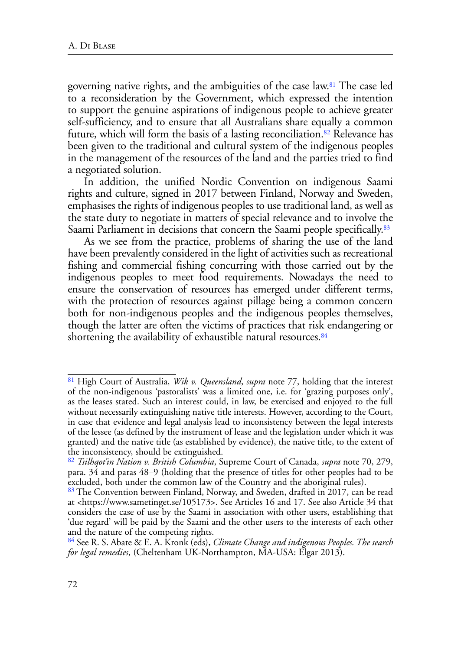<span id="page-27-5"></span><span id="page-27-4"></span>governing native rights, and the ambiguities of the case law[.81](#page-27-0) The case led to a reconsideration by the Government, which expressed the intention to support the genuine aspirations of indigenous people to achieve greater self-sufficiency, and to ensure that all Australians share equally a common future, which will form the basis of a lasting reconciliation.<sup>82</sup> Relevance has been given to the traditional and cultural system of the indigenous peoples in the management of the resources of the land and the parties tried to find a negotiated solution.

In addition, the unified Nordic Convention on indigenous Saami rights and culture, signed in 2017 between Finland, Norway and Sweden, emphasises the rights of indigenous peoples to use traditional land, as well as the state duty to negotiate in matters of special relevance and to involve the Saami Parliament in decisions that concern the Saami people specifically.<sup>83</sup>

<span id="page-27-6"></span>As we see from the practice, problems of sharing the use of the land have been prevalently considered in the light of activities such as recreational fishing and commercial fishing concurring with those carried out by the indigenous peoples to meet food requirements. Nowadays the need to ensure the conservation of resources has emerged under different terms, with the protection of resources against pillage being a common concern both for non-indigenous peoples and the indigenous peoples themselves, though the latter are often the victims of practices that risk endangering or shortening the availability of exhaustible natural resources.<sup>[84](#page-27-3)</sup>

<span id="page-27-7"></span><span id="page-27-0"></span>[<sup>81</sup>](#page-27-4) High Court of Australia, *Wik v. Queensland*, *supra* note 77, holding that the interest of the non-indigenous 'pastoralists' was a limited one, i.e. for 'grazing purposes only', as the leases stated. Such an interest could, in law, be exercised and enjoyed to the full without necessarily extinguishing native title interests. However, according to the Court, in case that evidence and legal analysis lead to inconsistency between the legal interests of the lessee (as defined by the instrument of lease and the legislation under which it was granted) and the native title (as established by evidence), the native title, to the extent of the inconsistency, should be extinguished.

<span id="page-27-1"></span>[<sup>82</sup>](#page-27-5) *Tsilhqot'in Nation v. British Columbia*, Supreme Court of Canada, *supra* note 70, 279, para. 34 and paras 48–9 (holding that the presence of titles for other peoples had to be excluded, both under the common law of the Country and the aboriginal rules).

<span id="page-27-2"></span>[<sup>83</sup>](#page-27-6) The Convention between Finland, Norway, and Sweden, drafted in 2017, can be read at <<https://www.sametinget.se/105173>>. See Articles 16 and 17. See also Article 34 that considers the case of use by the Saami in association with other users, establishing that 'due regard' will be paid by the Saami and the other users to the interests of each other and the nature of the competing rights.

<span id="page-27-3"></span>[<sup>84</sup>](#page-27-7) See R. S. Abate & E. A. Kronk (eds), *Climate Change and indigenous Peoples. The search for legal remedies*, (Cheltenham UK-Northampton, MA-USA: Elgar 2013).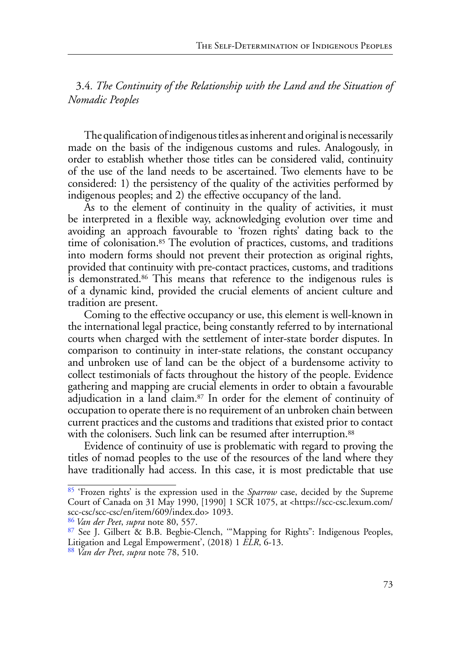3.4*. The Continuity of the Relationship with the Land and the Situation of Nomadic Peoples* 

The qualification of indigenous titles as inherent and original is necessarily made on the basis of the indigenous customs and rules. Analogously, in order to establish whether those titles can be considered valid, continuity of the use of the land needs to be ascertained. Two elements have to be considered: 1) the persistency of the quality of the activities performed by indigenous peoples; and 2) the effective occupancy of the land.

<span id="page-28-4"></span>As to the element of continuity in the quality of activities, it must be interpreted in a flexible way, acknowledging evolution over time and avoiding an approach favourable to 'frozen rights' dating back to the time of colonisation[.85](#page-28-0) The evolution of practices, customs, and traditions into modern forms should not prevent their protection as original rights, provided that continuity with pre-contact practices, customs, and traditions is demonstrated.<sup>86</sup> This means that reference to the indigenous rules is of a dynamic kind, provided the crucial elements of ancient culture and tradition are present.

<span id="page-28-5"></span>Coming to the effective occupancy or use, this element is well-known in the international legal practice, being constantly referred to by international courts when charged with the settlement of inter-state border disputes. In comparison to continuity in inter-state relations, the constant occupancy and unbroken use of land can be the object of a burdensome activity to collect testimonials of facts throughout the history of the people. Evidence gathering and mapping are crucial elements in order to obtain a favourable adjudication in a land claim[.87](#page-28-2) In order for the element of continuity of occupation to operate there is no requirement of an unbroken chain between current practices and the customs and traditions that existed prior to contact with the colonisers. Such link can be resumed after interruption.<sup>[88](#page-28-3)</sup>

<span id="page-28-7"></span><span id="page-28-6"></span>Evidence of continuity of use is problematic with regard to proving the titles of nomad peoples to the use of the resources of the land where they have traditionally had access. In this case, it is most predictable that use

<span id="page-28-0"></span>[<sup>85</sup>](#page-28-4) 'Frozen rights' is the expression used in the *Sparrow* case, decided by the Supreme Court of Canada on 31 May 1990, [1990] 1 SCR 1075, at <[https://scc-csc.lexum.com/](https://scc-csc.lexum.com/scc-csc/scc-csc/en/item/609/index.do) [scc-csc/scc-csc/en/item/609/index.do>](https://scc-csc.lexum.com/scc-csc/scc-csc/en/item/609/index.do) 1093.

<span id="page-28-1"></span>[<sup>86</sup>](#page-28-5) *Van der Peet*, *supra* note 80, 557.

<span id="page-28-2"></span>[<sup>87</sup>](#page-28-6) See J. Gilbert & B.B. Begbie-Clench, '"Mapping for Rights": Indigenous Peoples, Litigation and Legal Empowerment', (2018) 1 *ELR*, 6-13.

<span id="page-28-3"></span>[<sup>88</sup>](#page-28-7) *Van der Peet*, *supra* note 78, 510.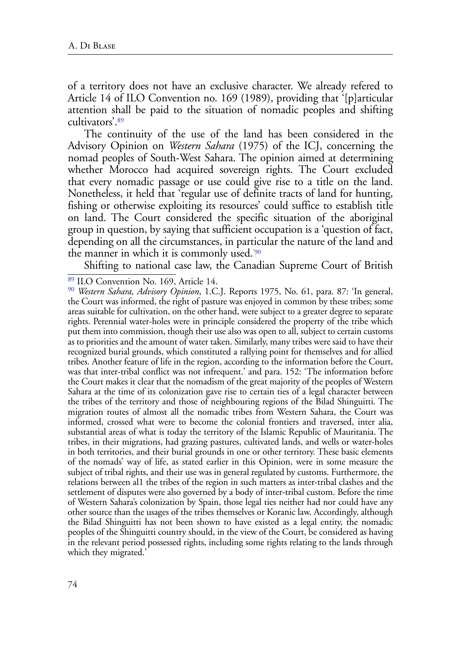of a territory does not have an exclusive character. We already refered to Article 14 of ILO Convention no. 169 (1989), providing that '[p]articular attention shall be paid to the situation of nomadic peoples and shifting cultivators'.[89](#page-29-0)

<span id="page-29-2"></span>The continuity of the use of the land has been considered in the Advisory Opinion on *Western Sahara* (1975) of the ICJ, concerning the nomad peoples of South-West Sahara. The opinion aimed at determining whether Morocco had acquired sovereign rights. The Court excluded that every nomadic passage or use could give rise to a title on the land. Nonetheless, it held that 'regular use of definite tracts of land for hunting, fishing or otherwise exploiting its resources' could suffice to establish title on land. The Court considered the specific situation of the aboriginal group in question, by saying that sufficient occupation is a 'question of fact, depending on all the circumstances, in particular the nature of the land and the manner in which it is commonly used[.'90](#page-29-1)

<span id="page-29-3"></span>Shifting to national case law, the Canadian Supreme Court of British

<span id="page-29-0"></span>[<sup>89</sup>](#page-29-2) ILO Convention No. 169, Article 14.

<span id="page-29-1"></span>[<sup>90</sup>](#page-29-3) *Western Sahara, Advisory Opinion*, 1.C.J. Reports 1975, No. 61, para. 87: 'In general, the Court was informed, the right of pasture was enjoyed in common by these tribes; some areas suitable for cultivation, on the other hand, were subject to a greater degree to separate rights. Perennial water-holes were in principle considered the property of the tribe which put them into commission, though their use also was open to all, subject to certain customs as to priorities and the amount of water taken. Similarly, many tribes were said to have their recognized burial grounds, which constituted a rallying point for themselves and for allied tribes. Another feature of life in the region, according to the information before the Court, was that inter-tribal conflict was not infrequent.' and para. 152: 'The information before the Court makes it clear that the nomadism of the great majority of the peoples of Western Sahara at the time of its colonization gave rise to certain ties of a legal character between the tribes of the territory and those of neighbouring regions of the Bilad Shinguitti. The migration routes of almost all the nomadic tribes from Western Sahara, the Court was informed, crossed what were to become the colonial frontiers and traversed, inter alia, substantial areas of what is today the territory of the Islamic Republic of Mauritania. The tribes, in their migrations, had grazing pastures, cultivated lands, and wells or water-holes in both territories, and their burial grounds in one or other territory. These basic elements of the nomads' way of life, as stated earlier in this Opinion, were in some measure the subject of tribal rights, and their use was in general regulated by customs. Furthermore, the relations between al1 the tribes of the region in such matters as inter-tribal clashes and the settlement of disputes were also governed by a body of inter-tribal custom. Before the time of Western Sahara's colonization by Spain, those legal ties neither had nor could have any other source than the usages of the tribes themselves or Koranic law. Accordingly, although the Bilad Shinguitti has not been shown to have existed as a legal entity, the nomadic peoples of the Shinguitti country should, in the view of the Court, be considered as having in the relevant period possessed rights, including some rights relating to the lands through which they migrated.'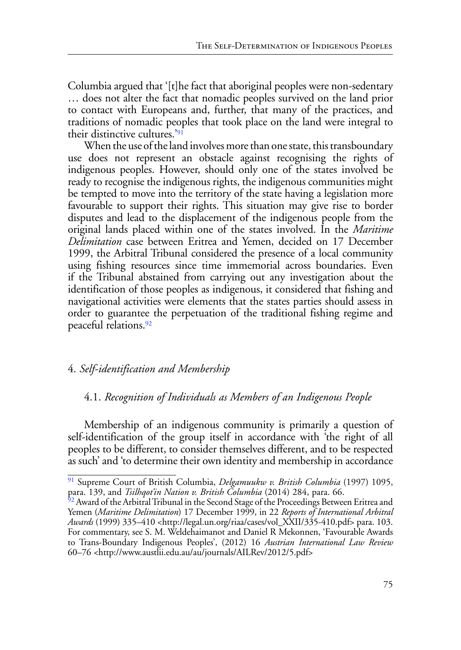Columbia argued that '[t]he fact that aboriginal peoples were non-sedentary … does not alter the fact that nomadic peoples survived on the land prior to contact with Europeans and, further, that many of the practices, and traditions of nomadic peoples that took place on the land were integral to their distinctive cultures.['91](#page-30-0)

<span id="page-30-2"></span>When the use of the land involves more than one state, this transboundary use does not represent an obstacle against recognising the rights of indigenous peoples. However, should only one of the states involved be ready to recognise the indigenous rights, the indigenous communities might be tempted to move into the territory of the state having a legislation more favourable to support their rights. This situation may give rise to border disputes and lead to the displacement of the indigenous people from the original lands placed within one of the states involved. In the *Maritime Delimitation* case between Eritrea and Yemen, decided on 17 December 1999, the Arbitral Tribunal considered the presence of a local community using fishing resources since time immemorial across boundaries. Even if the Tribunal abstained from carrying out any investigation about the identification of those peoples as indigenous, it considered that fishing and navigational activities were elements that the states parties should assess in order to guarantee the perpetuation of the traditional fishing regime and peaceful relations[.92](#page-30-1)

## 4. *Self-identification and Membership*

## <span id="page-30-3"></span>4.1. *Recognition of Individuals as Members of an Indigenous People*

Membership of an indigenous community is primarily a question of self-identification of the group itself in accordance with 'the right of all peoples to be different, to consider themselves different, and to be respected as such' and 'to determine their own identity and membership in accordance

<span id="page-30-0"></span>[<sup>91</sup>](#page-30-2) Supreme Court of British Columbia, *Delgamuukw v. British Columbia* (1997) 1095, para. 139, and *Tsilhqot'in Nation v. British Columbia* (2014) 284, para. 66.

<span id="page-30-1"></span><sup>&</sup>lt;sup>92</sup> Award of the Arbitral Tribunal in the Second Stage of the Proceedings Between Eritrea and Yemen (*Maritime Delimitation*) 17 December 1999, in 22 *Reports of International Arbitral Awards* (1999) 335–410 <http://legal.un.org/riaa/cases/vol\_XXII/335-410.pdf> para. 103. For commentary, see S. M. Weldehaimanot and Daniel R Mekonnen, 'Favourable Awards to Trans-Boundary Indigenous Peoples', (2012) 16 *Austrian International Law Review* 60–76 [<http://www.austlii.edu.au/au/journals/AILRev/2012/5.pdf](http://www.austlii.edu.au/au/journals/AILRev/2012/5.pdf)>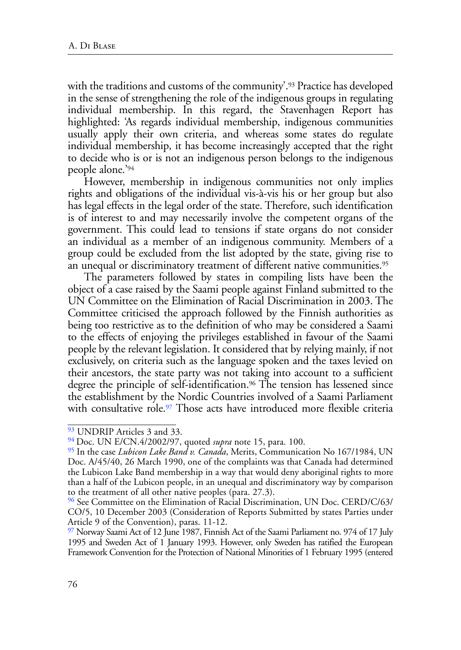<span id="page-31-5"></span>with the traditions and customs of the community'.<sup>93</sup> Practice has developed in the sense of strengthening the role of the indigenous groups in regulating individual membership. In this regard, the Stavenhagen Report has highlighted: 'As regards individual membership, indigenous communities usually apply their own criteria, and whereas some states do regulate individual membership, it has become increasingly accepted that the right to decide who is or is not an indigenous person belongs to the indigenous people alone.['94](#page-31-1)

<span id="page-31-6"></span>However, membership in indigenous communities not only implies rights and obligations of the individual vis-à-vis his or her group but also has legal effects in the legal order of the state. Therefore, such identification is of interest to and may necessarily involve the competent organs of the government. This could lead to tensions if state organs do not consider an individual as a member of an indigenous community. Members of a group could be excluded from the list adopted by the state, giving rise to an unequal or discriminatory treatment of different native communities.<sup>95</sup>

<span id="page-31-7"></span>The parameters followed by states in compiling lists have been the object of a case raised by the Saami people against Finland submitted to the UN Committee on the Elimination of Racial Discrimination in 2003. The Committee criticised the approach followed by the Finnish authorities as being too restrictive as to the definition of who may be considered a Saami to the effects of enjoying the privileges established in favour of the Saami people by the relevant legislation. It considered that by relying mainly, if not exclusively, on criteria such as the language spoken and the taxes levied on their ancestors, the state party was not taking into account to a sufficient degree the principle of self-identification.<sup>96</sup> The tension has lessened since the establishment by the Nordic Countries involved of a Saami Parliament with consultative role.<sup>97</sup> Those acts have introduced more flexible criteria

<span id="page-31-9"></span><span id="page-31-8"></span><span id="page-31-0"></span>[<sup>93</sup>](#page-31-5) UNDRIP Articles 3 and 33.

<span id="page-31-1"></span>[<sup>94</sup>](#page-31-6) Doc. UN E/CN.4/2002/97, quoted *supra* note 15, para. 100.

<span id="page-31-2"></span>[<sup>95</sup>](#page-31-7) In the case *Lubicon Lake Band v. Canada*, Merits, Communication No 167/1984, UN Doc. A/45/40, 26 March 1990, one of the complaints was that Canada had determined the Lubicon Lake Band membership in a way that would deny aboriginal rights to more than a half of the Lubicon people, in an unequal and discriminatory way by comparison to the treatment of all other native peoples (para. 27.3).

<span id="page-31-3"></span><sup>&</sup>lt;sup>96</sup> See Committee on the Elimination of Racial Discrimination, UN Doc. CERD/C/63/ CO/5, 10 December 2003 (Consideration of Reports Submitted by states Parties under Article 9 of the Convention), paras. 11-12.

<span id="page-31-4"></span>[<sup>97</sup>](#page-31-9) Norway Saami Act of 12 June 1987, Finnish Act of the Saami Parliament no. 974 of 17 July 1995 and Sweden Act of 1 January 1993. However, only Sweden has ratified the European Framework Convention for the Protection of National Minorities of 1 February 1995 (entered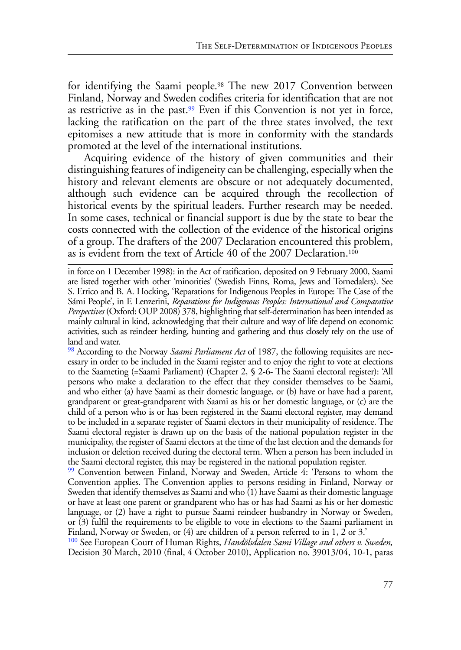<span id="page-32-4"></span><span id="page-32-3"></span>for identifying the Saami people[.98](#page-32-0) The new 2017 Convention between Finland, Norway and Sweden codifies criteria for identification that are not as restrictive as in the past.<sup>99</sup> Even if this Convention is not yet in force, lacking the ratification on the part of the three states involved, the text epitomises a new attitude that is more in conformity with the standards promoted at the level of the international institutions.

Acquiring evidence of the history of given communities and their distinguishing features of indigeneity can be challenging, especially when the history and relevant elements are obscure or not adequately documented, although such evidence can be acquired through the recollection of historical events by the spiritual leaders. Further research may be needed. In some cases, technical or financial support is due by the state to bear the costs connected with the collection of the evidence of the historical origins of a group. The drafters of the 2007 Declaration encountered this problem, as is evident from the text of Article 40 of the 2007 Declaration[.100](#page-32-2)

<span id="page-32-5"></span>in force on 1 December 1998): in the Act of ratification, deposited on 9 February 2000, Saami are listed together with other 'minorities' (Swedish Finns, Roma, Jews and Tornedalers). See S. Errico and B. A. Hocking, 'Reparations for Indigenous Peoples in Europe: The Case of the Sámi People', in F. Lenzerini, *Reparations for Indigenous Peoples: International and Comparative Perspectives* (Oxford: OUP 2008) 378, highlighting that self-determination has been intended as mainly cultural in kind, acknowledging that their culture and way of life depend on economic activities, such as reindeer herding, hunting and gathering and thus closely rely on the use of land and water.

<span id="page-32-0"></span>[98](#page-32-3) According to the Norway *Saami Parliament Act* of 1987, the following requisites are necessary in order to be included in the Saami register and to enjoy the right to vote at elections to the Saameting (=Saami Parliament) (Chapter 2, § 2-6- The Saami electoral register): 'All persons who make a declaration to the effect that they consider themselves to be Saami, and who either (a) have Saami as their domestic language, or (b) have or have had a parent, grandparent or great-grandparent with Saami as his or her domestic language, or (c) are the child of a person who is or has been registered in the Saami electoral register, may demand to be included in a separate register of Saami electors in their municipality of residence. The Saami electoral register is drawn up on the basis of the national population register in the municipality, the register of Saami electors at the time of the last election and the demands for inclusion or deletion received during the electoral term. When a person has been included in the Saami electoral register, this may be registered in the national population register.

<span id="page-32-1"></span>[99](#page-32-4) Convention between Finland, Norway and Sweden, Article 4: 'Persons to whom the Convention applies. The Convention applies to persons residing in Finland, Norway or Sweden that identify themselves as Saami and who (1) have Saami as their domestic language or have at least one parent or grandparent who has or has had Saami as his or her domestic language, or (2) have a right to pursue Saami reindeer husbandry in Norway or Sweden, or (3) fulfil the requirements to be eligible to vote in elections to the Saami parliament in Finland, Norway or Sweden, or (4) are children of a person referred to in 1, 2 or 3.'

<span id="page-32-2"></span>[100](#page-32-5) See European Court of Human Rights, *Handölsdalen Sami Village and others v. Sweden,* Decision 30 March, 2010 (final, 4 October 2010), Application no. 39013/04, 10-1, paras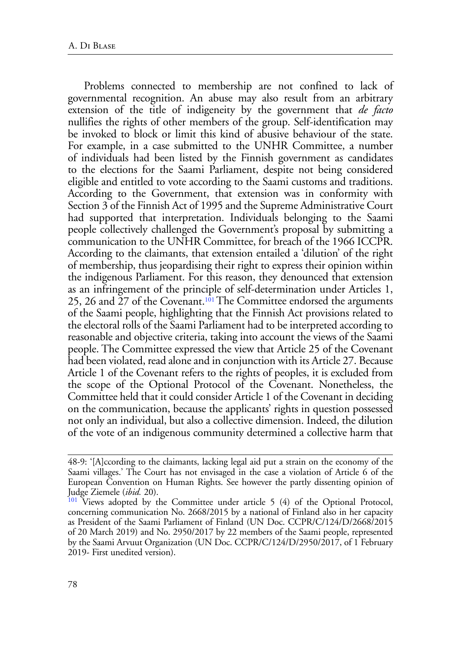Problems connected to membership are not confined to lack of governmental recognition. An abuse may also result from an arbitrary extension of the title of indigeneity by the government that *de facto* nullifies the rights of other members of the group. Self-identification may be invoked to block or limit this kind of abusive behaviour of the state. For example, in a case submitted to the UNHR Committee, a number of individuals had been listed by the Finnish government as candidates to the elections for the Saami Parliament, despite not being considered eligible and entitled to vote according to the Saami customs and traditions. According to the Government, that extension was in conformity with Section 3 of the Finnish Act of 1995 and the Supreme Administrative Court had supported that interpretation. Individuals belonging to the Saami people collectively challenged the Government's proposal by submitting a communication to the UNHR Committee, for breach of the 1966 ICCPR. According to the claimants, that extension entailed a 'dilution' of the right of membership, thus jeopardising their right to express their opinion within the indigenous Parliament. For this reason, they denounced that extension as an infringement of the principle of self-determination under Articles 1, 25, 26 and 27 of the Covenant[.101](#page-33-0) The Committee endorsed the arguments of the Saami people, highlighting that the Finnish Act provisions related to the electoral rolls of the Saami Parliament had to be interpreted according to reasonable and objective criteria, taking into account the views of the Saami people. The Committee expressed the view that Article 25 of the Covenant had been violated, read alone and in conjunction with its Article 27. Because Article 1 of the Covenant refers to the rights of peoples, it is excluded from the scope of the Optional Protocol of the Covenant. Nonetheless, the Committee held that it could consider Article 1 of the Covenant in deciding on the communication, because the applicants' rights in question possessed not only an individual, but also a collective dimension. Indeed, the dilution of the vote of an indigenous community determined a collective harm that

<span id="page-33-1"></span><sup>48-9: &#</sup>x27;[A]ccording to the claimants, lacking legal aid put a strain on the economy of the Saami villages.' The Court has not envisaged in the case a violation of Article 6 of the European Convention on Human Rights. See however the partly dissenting opinion of Judge Ziemele (*ibid.* 20).

<span id="page-33-0"></span><sup>&</sup>lt;sup>[101](#page-33-1)</sup> Views adopted by the Committee under article 5 (4) of the Optional Protocol, concerning communication No. 2668/2015 by a national of Finland also in her capacity as President of the Saami Parliament of Finland (UN Doc. CCPR/C/124/D/2668/2015 of 20 March 2019) and No. 2950/2017 by 22 members of the Saami people, represented by the Saami Arvuut Organization (UN Doc. CCPR/C/124/D/2950/2017, of 1 February 2019- First unedited version).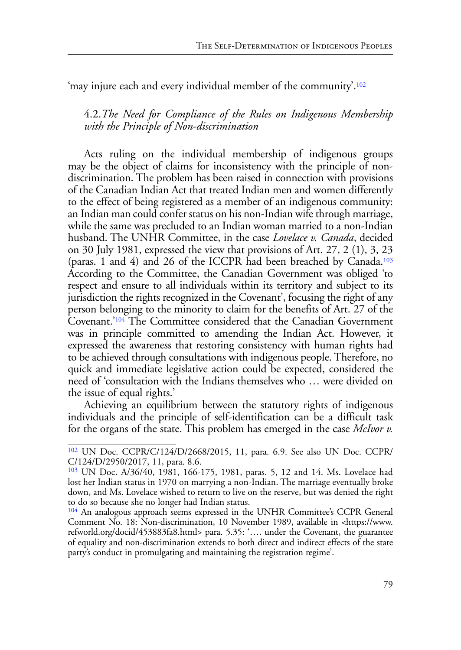'may injure each and every individual member of the community'[.102](#page-34-0)

<span id="page-34-4"></span><span id="page-34-3"></span>4.2.*The Need for Compliance of the Rules on Indigenous Membership with the Principle of Non-discrimination*

Acts ruling on the individual membership of indigenous groups may be the object of claims for inconsistency with the principle of nondiscrimination. The problem has been raised in connection with provisions of the Canadian Indian Act that treated Indian men and women differently to the effect of being registered as a member of an indigenous community: an Indian man could confer status on his non-Indian wife through marriage, while the same was precluded to an Indian woman married to a non-Indian husband. The UNHR Committee, in the case *Lovelace v. Canada*, decided on 30 July 1981, expressed the view that provisions of Art. 27, 2 (1), 3, 23 (paras. 1 and 4) and 26 of the ICCPR had been breached by Canada.[103](#page-34-1) According to the Committee, the Canadian Government was obliged 'to respect and ensure to all individuals within its territory and subject to its jurisdiction the rights recognized in the Covenant', focusing the right of any person belonging to the minority to claim for the benefits of Art. 27 of the Covenant.['104](#page-34-2) The Committee considered that the Canadian Government was in principle committed to amending the Indian Act. However, it expressed the awareness that restoring consistency with human rights had to be achieved through consultations with indigenous people. Therefore, no quick and immediate legislative action could be expected, considered the need of 'consultation with the Indians themselves who … were divided on the issue of equal rights.'

<span id="page-34-5"></span>Achieving an equilibrium between the statutory rights of indigenous individuals and the principle of self-identification can be a difficult task for the organs of the state. This problem has emerged in the case *McIvor v.* 

<span id="page-34-0"></span>[<sup>102</sup>](#page-34-3) UN Doc. CCPR/C/124/D/2668/2015, 11, para. 6.9. See also UN Doc. CCPR/ C/124/D/2950/2017, 11, para. 8.6.

<span id="page-34-1"></span>[<sup>103</sup>](#page-34-4) UN Doc. A/36/40, 1981, 166-175, 1981, paras. 5, 12 and 14. Ms. Lovelace had lost her Indian status in 1970 on marrying a non-Indian. The marriage eventually broke down, and Ms. Lovelace wished to return to live on the reserve, but was denied the right to do so because she no longer had Indian status.

<span id="page-34-2"></span>[<sup>104</sup>](#page-34-5) An analogous approach seems expressed in the UNHR Committee's CCPR General Comment No. 18: Non-discrimination, 10 November 1989, available in <https://www. refworld.org/docid/453883fa8.html> para. 5.35: '…. under the Covenant, the guarantee of equality and non-discrimination extends to both direct and indirect effects of the state party's conduct in promulgating and maintaining the registration regime'.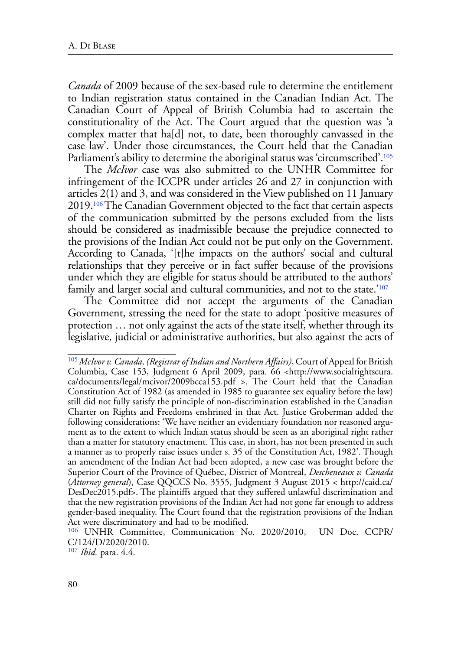*Canada* of 2009 because of the sex-based rule to determine the entitlement to Indian registration status contained in the Canadian Indian Act. The Canadian Court of Appeal of British Columbia had to ascertain the constitutionality of the Act. The Court argued that the question was 'a complex matter that ha[d] not, to date, been thoroughly canvassed in the case law'. Under those circumstances, the Court held that the Canadian Parliament's ability to determine the aboriginal status was 'circumscribed'.<sup>[105](#page-35-0)</sup>

<span id="page-35-4"></span><span id="page-35-3"></span>The *McIvor* case was also submitted to the UNHR Committee for infringement of the ICCPR under articles 26 and 27 in conjunction with articles 2(1) and 3, and was considered in the View published on 11 January 2019[.106](#page-35-1) The Canadian Government objected to the fact that certain aspects of the communication submitted by the persons excluded from the lists should be considered as inadmissible because the prejudice connected to the provisions of the Indian Act could not be put only on the Government. According to Canada, '[t]he impacts on the authors' social and cultural relationships that they perceive or in fact suffer because of the provisions under which they are eligible for status should be attributed to the authors' family and larger social and cultural communities, and not to the state.<sup>['107](#page-35-2)</sup>

<span id="page-35-5"></span>The Committee did not accept the arguments of the Canadian Government, stressing the need for the state to adopt 'positive measures of protection … not only against the acts of the state itself, whether through its legislative, judicial or administrative authorities, but also against the acts of

<span id="page-35-0"></span>[<sup>105</sup>](#page-35-3)*McIvor v. Canada, (Registrar of Indian and Northern Affairs)*, Court of Appeal for British Columbia, Case 153, Judgment 6 April 2009, para. 66 <http://www.socialrightscura. ca/documents/legal/mcivor/2009bcca153.pdf >. The Court held that the Canadian Constitution Act of 1982 (as amended in 1985 to guarantee sex equality before the law) still did not fully satisfy the principle of non-discrimination established in the Canadian Charter on Rights and Freedoms enshrined in that Act. Justice Groberman added the following considerations: 'We have neither an evidentiary foundation nor reasoned argument as to the extent to which Indian status should be seen as an aboriginal right rather than a matter for statutory enactment. This case, in short, has not been presented in such a manner as to properly raise issues under s. 35 of the Constitution Act, 1982'. Though an amendment of the Indian Act had been adopted, a new case was brought before the Superior Court of the Province of Québec, District of Montreal, *Descheneaux v. Canada* (*Attorney general*), Case QQCCS No. 3555, Judgment 3 August 2015 < [http://caid.ca/](http://caid.ca/DesDec2015.pdf) [DesDec2015.pdf](http://caid.ca/DesDec2015.pdf)>. The plaintiffs argued that they suffered unlawful discrimination and that the new registration provisions of the Indian Act had not gone far enough to address gender-based inequality. The Court found that the registration provisions of the Indian Act were discriminatory and had to be modified.

<span id="page-35-1"></span>[<sup>106</sup>](#page-35-4) UNHR Committee, Communication No. 2020/2010, UN Doc. CCPR/ C/124/D/2020/2010.

<span id="page-35-2"></span>[<sup>107</sup>](#page-35-5) *Ibid.* para. 4.4.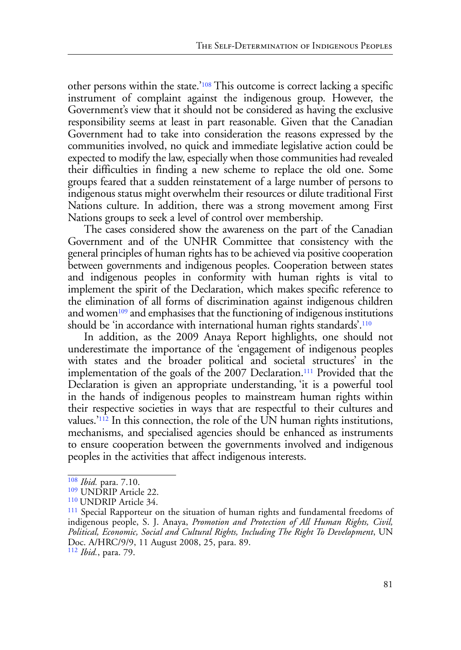<span id="page-36-5"></span>other persons within the state.'[108](#page-36-0) This outcome is correct lacking a specific instrument of complaint against the indigenous group. However, the Government's view that it should not be considered as having the exclusive responsibility seems at least in part reasonable. Given that the Canadian Government had to take into consideration the reasons expressed by the communities involved, no quick and immediate legislative action could be expected to modify the law, especially when those communities had revealed their difficulties in finding a new scheme to replace the old one. Some groups feared that a sudden reinstatement of a large number of persons to indigenous status might overwhelm their resources or dilute traditional First Nations culture. In addition, there was a strong movement among First Nations groups to seek a level of control over membership.

The cases considered show the awareness on the part of the Canadian Government and of the UNHR Committee that consistency with the general principles of human rights has to be achieved via positive cooperation between governments and indigenous peoples. Cooperation between states and indigenous peoples in conformity with human rights is vital to implement the spirit of the Declaration, which makes specific reference to the elimination of all forms of discrimination against indigenous children and women<sup>109</sup> and emphasises that the functioning of indigenous institutions should be 'in accordance with international human rights standards'.<sup>110</sup>

<span id="page-36-8"></span><span id="page-36-7"></span><span id="page-36-6"></span>In addition, as the 2009 Anaya Report highlights, one should not underestimate the importance of the 'engagement of indigenous peoples with states and the broader political and societal structures' in the implementation of the goals of the 2007 Declaration.<sup>111</sup> Provided that the Declaration is given an appropriate understanding, 'it is a powerful tool in the hands of indigenous peoples to mainstream human rights within their respective societies in ways that are respectful to their cultures and values.['112](#page-36-4) In this connection, the role of the UN human rights institutions, mechanisms, and specialised agencies should be enhanced as instruments to ensure cooperation between the governments involved and indigenous peoples in the activities that affect indigenous interests.

<span id="page-36-4"></span>[112](#page-36-9) *Ibid.*, para. 79.

<span id="page-36-9"></span><span id="page-36-0"></span>[<sup>108</sup>](#page-36-5) *Ibid.* para. 7.10.

<span id="page-36-1"></span>[<sup>109</sup>](#page-36-6) UNDRIP Article 22.

<span id="page-36-3"></span>

<span id="page-36-2"></span><sup>&</sup>lt;sup>[110](#page-36-7)</sup> UNDRIP Article 34.<br><sup>[111](#page-36-8)</sup> Special Rapporteur on the situation of human rights and fundamental freedoms of indigenous people, S. J. Anaya, *Promotion and Protection of All Human Rights, Civil, Political, Economic, Social and Cultural Rights, Including The Right To Development*, UN Doc. A/HRC/9/9, 11 August 2008, 25, para. 89.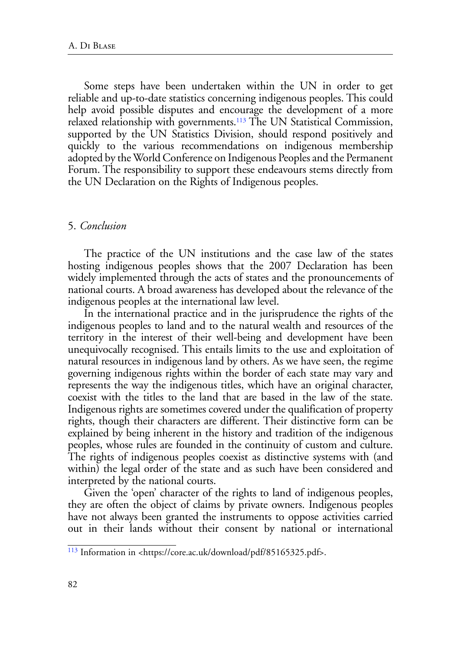<span id="page-37-1"></span>Some steps have been undertaken within the UN in order to get reliable and up-to-date statistics concerning indigenous peoples. This could help avoid possible disputes and encourage the development of a more relaxed relationship with governments[.113](#page-37-0) The UN Statistical Commission, supported by the UN Statistics Division, should respond positively and quickly to the various recommendations on indigenous membership adopted by the World Conference on Indigenous Peoples and the Permanent Forum. The responsibility to support these endeavours stems directly from the UN Declaration on the Rights of Indigenous peoples.

#### 5. *Conclusion*

The practice of the UN institutions and the case law of the states hosting indigenous peoples shows that the 2007 Declaration has been widely implemented through the acts of states and the pronouncements of national courts. A broad awareness has developed about the relevance of the indigenous peoples at the international law level.

In the international practice and in the jurisprudence the rights of the indigenous peoples to land and to the natural wealth and resources of the territory in the interest of their well-being and development have been unequivocally recognised. This entails limits to the use and exploitation of natural resources in indigenous land by others. As we have seen, the regime governing indigenous rights within the border of each state may vary and represents the way the indigenous titles, which have an original character, coexist with the titles to the land that are based in the law of the state. Indigenous rights are sometimes covered under the qualification of property rights, though their characters are different. Their distinctive form can be explained by being inherent in the history and tradition of the indigenous peoples, whose rules are founded in the continuity of custom and culture. The rights of indigenous peoples coexist as distinctive systems with (and within) the legal order of the state and as such have been considered and interpreted by the national courts.

Given the 'open' character of the rights to land of indigenous peoples, they are often the object of claims by private owners. Indigenous peoples have not always been granted the instruments to oppose activities carried out in their lands without their consent by national or international

<span id="page-37-0"></span>[<sup>113</sup>](#page-37-1) Information in <https://core.ac.uk/download/pdf/85165325.pdf>.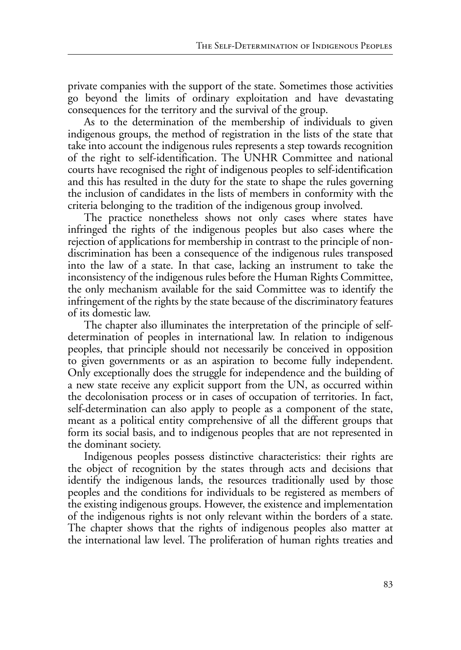private companies with the support of the state. Sometimes those activities go beyond the limits of ordinary exploitation and have devastating consequences for the territory and the survival of the group.

As to the determination of the membership of individuals to given indigenous groups, the method of registration in the lists of the state that take into account the indigenous rules represents a step towards recognition of the right to self-identification. The UNHR Committee and national courts have recognised the right of indigenous peoples to self-identification and this has resulted in the duty for the state to shape the rules governing the inclusion of candidates in the lists of members in conformity with the criteria belonging to the tradition of the indigenous group involved.

The practice nonetheless shows not only cases where states have infringed the rights of the indigenous peoples but also cases where the rejection of applications for membership in contrast to the principle of nondiscrimination has been a consequence of the indigenous rules transposed into the law of a state. In that case, lacking an instrument to take the inconsistency of the indigenous rules before the Human Rights Committee, the only mechanism available for the said Committee was to identify the infringement of the rights by the state because of the discriminatory features of its domestic law.

The chapter also illuminates the interpretation of the principle of selfdetermination of peoples in international law. In relation to indigenous peoples, that principle should not necessarily be conceived in opposition to given governments or as an aspiration to become fully independent. Only exceptionally does the struggle for independence and the building of a new state receive any explicit support from the UN, as occurred within the decolonisation process or in cases of occupation of territories. In fact, self-determination can also apply to people as a component of the state, meant as a political entity comprehensive of all the different groups that form its social basis, and to indigenous peoples that are not represented in the dominant society.

Indigenous peoples possess distinctive characteristics: their rights are the object of recognition by the states through acts and decisions that identify the indigenous lands, the resources traditionally used by those peoples and the conditions for individuals to be registered as members of the existing indigenous groups. However, the existence and implementation of the indigenous rights is not only relevant within the borders of a state. The chapter shows that the rights of indigenous peoples also matter at the international law level. The proliferation of human rights treaties and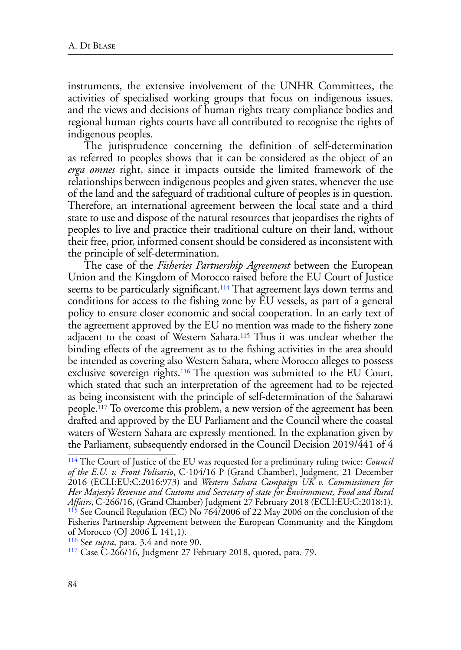instruments, the extensive involvement of the UNHR Committees, the activities of specialised working groups that focus on indigenous issues, and the views and decisions of human rights treaty compliance bodies and regional human rights courts have all contributed to recognise the rights of indigenous peoples.

The jurisprudence concerning the definition of self-determination as referred to peoples shows that it can be considered as the object of an *erga omnes* right, since it impacts outside the limited framework of the relationships between indigenous peoples and given states, whenever the use of the land and the safeguard of traditional culture of peoples is in question. Therefore, an international agreement between the local state and a third state to use and dispose of the natural resources that jeopardises the rights of peoples to live and practice their traditional culture on their land, without their free, prior, informed consent should be considered as inconsistent with the principle of self-determination.

<span id="page-39-5"></span><span id="page-39-4"></span>The case of the *Fisheries Partnership Agreement* between the European Union and the Kingdom of Morocco raised before the EU Court of Justice seems to be particularly significant.<sup>[114](#page-39-0)</sup> That agreement lays down terms and conditions for access to the fishing zone by EU vessels, as part of a general policy to ensure closer economic and social cooperation. In an early text of the agreement approved by the EU no mention was made to the fishery zone adjacent to the coast of Western Sahara[.115](#page-39-1) Thus it was unclear whether the binding effects of the agreement as to the fishing activities in the area should be intended as covering also Western Sahara, where Morocco alleges to possess exclusive sovereign rights.<sup>116</sup> The question was submitted to the EU Court, which stated that such an interpretation of the agreement had to be rejected as being inconsistent with the principle of self-determination of the Saharawi people[.117](#page-39-3) To overcome this problem, a new version of the agreement has been drafted and approved by the EU Parliament and the Council where the coastal waters of Western Sahara are expressly mentioned. In the explanation given by the Parliament, subsequently endorsed in the Council Decision 2019/441 of 4

<span id="page-39-7"></span><span id="page-39-6"></span><span id="page-39-0"></span>[<sup>114</sup>](#page-39-4) The Court of Justice of the EU was requested for a preliminary ruling twice: *Council of the E.U. v. Front Polisario*, C-104/16 P (Grand Chamber), Judgment, 21 December 2016 (ECLI:EU:C:2016:973) and *Western Sahara Campaign UK v. Commissioners for Her Majesty's Revenue and Customs and Secretary of state for Environment, Food and Rural Affairs*, C-266/16, (Grand Chamber) Judgment 27 February 2018 (ECLI:EU:C:2018:1). [115](#page-39-5) See Council Regulation (EC) No 764/2006 of 22 May 2006 on the conclusion of the Fisheries Partnership Agreement between the European Community and the Kingdom of Morocco (OJ 2006 L 141,1).

<span id="page-39-2"></span><span id="page-39-1"></span>[<sup>116</sup>](#page-39-6) See *supra*, para. 3.4 and note 90.

<span id="page-39-3"></span>[<sup>117</sup>](#page-39-7) Case C-266/16, Judgment 27 February 2018, quoted, para. 79.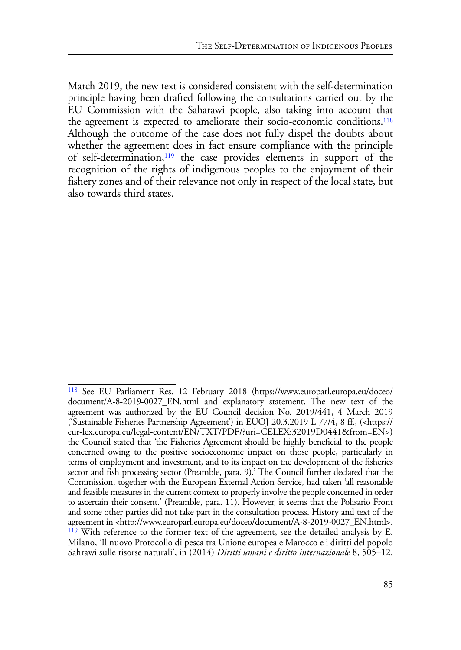<span id="page-40-3"></span><span id="page-40-2"></span>March 2019, the new text is considered consistent with the self-determination principle having been drafted following the consultations carried out by the EU Commission with the Saharawi people, also taking into account that the agreement is expected to ameliorate their socio-economic conditions.<sup>[118](#page-40-0)</sup> Although the outcome of the case does not fully dispel the doubts about whether the agreement does in fact ensure compliance with the principle of self-determination,<sup>119</sup> the case provides elements in support of the recognition of the rights of indigenous peoples to the enjoyment of their fishery zones and of their relevance not only in respect of the local state, but also towards third states.

<span id="page-40-1"></span><span id="page-40-0"></span>[<sup>118</sup>](#page-40-2) See EU Parliament Res. 12 February 2018 [\(https://www.europarl.europa.eu/doceo/](https://www.europarl.europa.eu/doceo/document/A-8-2019-0027_EN.html) [document/A-8-2019-0027\\_EN.html](https://www.europarl.europa.eu/doceo/document/A-8-2019-0027_EN.html) and explanatory statement. The new text of the agreement was authorized by the EU Council decision No. 2019/441, 4 March 2019 ('Sustainable Fisheries Partnership Agreement') in EUOJ 20.3.2019 L 77/4, 8 ff., (<https:// eur-lex.europa.eu/legal-content/EN/TXT/PDF/?uri=CELEX:32019D0441&from=EN>) the Council stated that 'the Fisheries Agreement should be highly beneficial to the people concerned owing to the positive socioeconomic impact on those people, particularly in terms of employment and investment, and to its impact on the development of the fisheries sector and fish processing sector (Preamble, para. 9).' The Council further declared that the Commission, together with the European External Action Service, had taken 'all reasonable and feasible measures in the current context to properly involve the people concerned in order to ascertain their consent.' (Preamble, para. 11). However, it seems that the Polisario Front and some other parties did not take part in the consultation process. History and text of the [agr](#page-40-3)eement in [<http://www.europarl.europa.eu/doceo/document/A-8-2019-0027\\_EN.html>](http://www.europarl.europa.eu/doceo/document/A-8-2019-0027_EN.html). [119](#page-40-3) With reference to the former text of the agreement, see the detailed analysis by E. Milano, 'Il nuovo Protocollo di pesca tra Unione europea e Marocco e i diritti del popolo Sahrawi sulle risorse naturali', in (2014) *Diritti umani e diritto internazionale* 8, 505–12.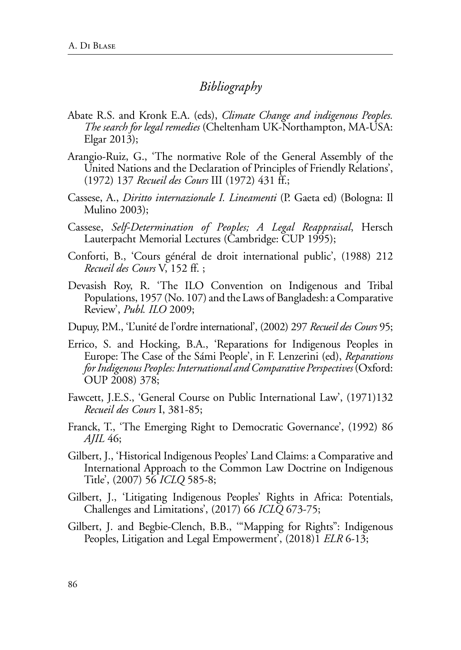# *Bibliography*

- Abate R.S. and Kronk E.A. (eds), *Climate Change and indigenous Peoples. The search for legal remedies* (Cheltenham UK-Northampton, MA-USA: Elgar 2013);
- Arangio-Ruiz, G., 'The normative Role of the General Assembly of the United Nations and the Declaration of Principles of Friendly Relations', (1972) 137 *Recueil des Cours* III (1972) 431 ff.;
- Cassese, A., *Diritto internazionale I. Lineamenti* (P. Gaeta ed) (Bologna: Il Mulino 2003);
- Cassese, *Self-Determination of Peoples; A Legal Reappraisal*, Hersch Lauterpacht Memorial Lectures (Cambridge: CUP 1995);
- Conforti, B., 'Cours général de droit international public', (1988) 212 *Recueil des Cours* V, 152 ff. ;
- Devasish Roy, R. 'The ILO Convention on Indigenous and Tribal Populations, 1957 (No. 107) and the Laws of Bangladesh: a Comparative Review', *Publ. ILO* 2009;
- Dupuy, P.M., 'L'unité de l'ordre international', (2002) 297 *Recueil des Cours* 95;
- Errico, S. and Hocking, B.A., 'Reparations for Indigenous Peoples in Europe: The Case of the Sámi People', in F. Lenzerini (ed), *Reparations for Indigenous Peoples: International and Comparative Perspectives* (Oxford: OUP 2008) 378;
- Fawcett, J.E.S., 'General Course on Public International Law', (1971)132 *Recueil des Cours* I, 381-85;
- Franck, T., 'The Emerging Right to Democratic Governance', (1992) 86 *AJIL* 46;
- Gilbert, J., 'Historical Indigenous Peoples' Land Claims: a Comparative and International Approach to the Common Law Doctrine on Indigenous Title', (2007) 56 *ICLQ* 585-8;
- Gilbert, J., 'Litigating Indigenous Peoples' Rights in Africa: Potentials, Challenges and Limitations', (2017) 66 *ICLQ* 673-75;
- Gilbert, J. and Begbie-Clench, B.B., '"Mapping for Rights": Indigenous Peoples, Litigation and Legal Empowerment', (2018)1 *ELR* 6-13;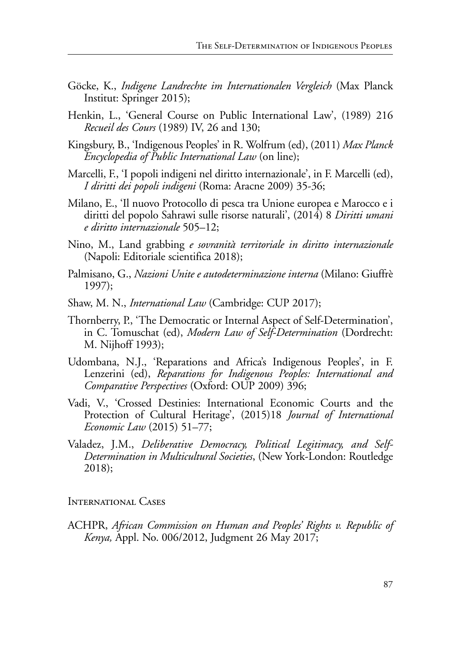- Göcke, K., *Indigene Landrechte im Internationalen Vergleich* (Max Planck Institut: Springer 2015);
- Henkin, L., 'General Course on Public International Law', (1989) 216 *Recueil des Cours* (1989) IV, 26 and 130;
- Kingsbury, B., 'Indigenous Peoples' in R. Wolfrum (ed), (2011) *Max Planck Encyclopedia of Public International Law* (on line);
- Marcelli, F., 'I popoli indigeni nel diritto internazionale', in F. Marcelli (ed), *I diritti dei popoli indigeni* (Roma: Aracne 2009) 35-36;
- Milano, E., 'Il nuovo Protocollo di pesca tra Unione europea e Marocco e i diritti del popolo Sahrawi sulle risorse naturali', (2014) 8 *Diritti umani e diritto internazionale* 505–12;
- Nino, M., Land grabbing *e sovranità territoriale in diritto internazionale* (Napoli: Editoriale scientifica 2018);
- Palmisano, G., *Nazioni Unite e autodeterminazione interna* (Milano: Giuffrè 1997);
- Shaw, M. N., *International Law* (Cambridge: CUP 2017);
- Thornberry, P., 'The Democratic or Internal Aspect of Self-Determination', in C. Tomuschat (ed), *Modern Law of Self-Determination* (Dordrecht: M. Nijhoff 1993);
- Udombana, N.J., 'Reparations and Africa's Indigenous Peoples', in F. Lenzerini (ed), *Reparations for Indigenous Peoples: International and Comparative Perspectives* (Oxford: OUP 2009) 396;
- Vadi, V., 'Crossed Destinies: International Economic Courts and the Protection of Cultural Heritage', (2015)18 *Journal of International Economic Law* (2015) 51–77;
- Valadez, J.M., *Deliberative Democracy, Political Legitimacy, and Self-Determination in Multicultural Societies*, (New York-London: Routledge 2018);

#### International Cases

ACHPR, *African Commission on Human and Peoples' Rights v. Republic of Kenya,* Appl. No. 006/2012, Judgment 26 May 2017;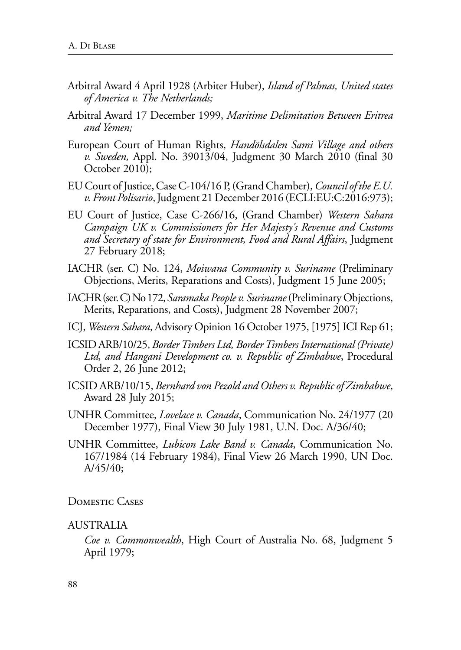- Arbitral Award 4 April 1928 (Arbiter Huber), *Island of Palmas, United states of America v. The Netherlands;*
- Arbitral Award 17 December 1999, *Maritime Delimitation Between Eritrea and Yemen;*
- European Court of Human Rights, *Handölsdalen Sami Village and others v. Sweden,* Appl. No. 39013/04, Judgment 30 March 2010 (final 30 October 2010);
- EU Court of Justice, Case C-104/16 P, (Grand Chamber), *Council of the E.U. v. Front Polisario*, Judgment 21 December 2016 (ECLI:EU:C:2016:973);
- EU Court of Justice, Case C-266/16, (Grand Chamber) *Western Sahara Campaign UK v. Commissioners for Her Majesty's Revenue and Customs and Secretary of state for Environment, Food and Rural Affairs*, Judgment 27 February 2018;
- IACHR (ser. C) No. 124, *Moiwana Community v. Suriname* (Preliminary Objections, Merits, Reparations and Costs), Judgment 15 June 2005;
- IACHR (ser. C) No 172, *Saramaka People v. Suriname* (Preliminary Objections, Merits, Reparations, and Costs), Judgment 28 November 2007;
- ICJ, *Western Sahara*, Advisory Opinion 16 October 1975, [1975] ICI Rep 61;
- ICSID ARB/10/25, *Border Timbers Ltd, Border Timbers International (Private) Ltd, and Hangani Development co. v. Republic of Zimbabwe*, Procedural Order 2, 26 June 2012;
- ICSID ARB/10/15, *Bernhard von Pezold and Others v. Republic of Zimbabwe*, Award 28 July 2015;
- UNHR Committee, *Lovelace v. Canada*, Communication No. 24/1977 (20 December 1977), Final View 30 July 1981, U.N. Doc. A/36/40;
- UNHR Committee, *Lubicon Lake Band v. Canada*, Communication No. 167/1984 (14 February 1984), Final View 26 March 1990, UN Doc.  $A/45/40;$

#### Domestic Cases

#### AUSTRALIA

*Coe v. Commonwealth*, High Court of Australia No. 68, Judgment 5 April 1979;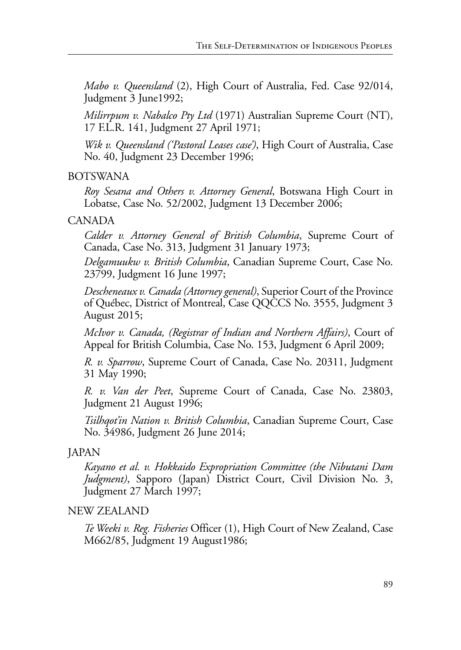*Mabo v. Queensland* (2), High Court of Australia, Fed. Case 92/014, Judgment 3 June1992;

*Milirrpum v. Nabalco Pty Ltd* (1971) Australian Supreme Court (NT), 17 F.L.R. 141, Judgment 27 April 1971;

*Wik v. Queensland ('Pastoral Leases case')*, High Court of Australia, Case No. 40, Judgment 23 December 1996;

## BOTSWANA

*Roy Sesana and Others v. Attorney General*, Botswana High Court in Lobatse, Case No. 52/2002, Judgment 13 December 2006;

### CANADA

*Calder v. Attorney General of British Columbia*, Supreme Court of Canada, Case No. 313, Judgment 31 January 1973;

*Delgamuukw v. British Columbia*, Canadian Supreme Court, Case No. 23799, Judgment 16 June 1997;

*Descheneaux v. Canada (Attorney general)*, Superior Court of the Province of Québec, District of Montreal, Case QQCCS No. 3555, Judgment 3 August 2015;

*McIvor v. Canada, (Registrar of Indian and Northern Affairs)*, Court of Appeal for British Columbia, Case No. 153, Judgment 6 April 2009;

*R. v. Sparrow*, Supreme Court of Canada, Case No. 20311, Judgment 31 May 1990;

*R. v. Van der Peet*, Supreme Court of Canada, Case No. 23803, Judgment 21 August 1996;

*Tsilhqot'in Nation v. British Columbia*, Canadian Supreme Court, Case No. 34986, Judgment 26 June 2014;

## JAPAN

*Kayano et al. v. Hokkaido Expropriation Committee (the Nibutani Dam Judgment)*, Sapporo (Japan) District Court, Civil Division No. 3, Judgment 27 March 1997;

## NEW ZEALAND

*Te Weeki v. Reg. Fisheries* Officer (1), High Court of New Zealand, Case M662/85, Judgment 19 August1986;